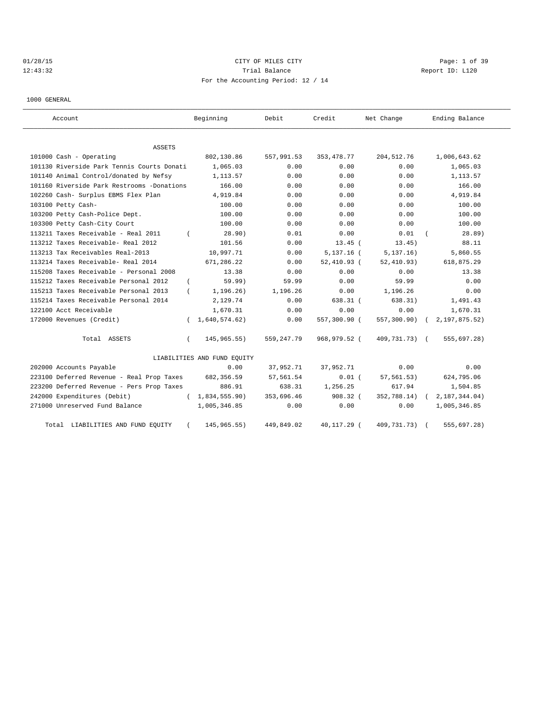# 01/28/15 CITY OF MILES CITY Page: 1 of 39 12:43:32 Trial Balance Report ID: L120 For the Accounting Period: 12 / 14

1000 GENERAL

| Account                                    | Beginning                   | Debit      | Credit        | Net Change    | Ending Balance  |
|--------------------------------------------|-----------------------------|------------|---------------|---------------|-----------------|
| ASSETS                                     |                             |            |               |               |                 |
| 101000 Cash - Operating                    | 802,130.86                  | 557,991.53 | 353, 478.77   | 204, 512.76   | 1,006,643.62    |
| 101130 Riverside Park Tennis Courts Donati | 1,065.03                    | 0.00       | 0.00          | 0.00          | 1,065.03        |
| 101140 Animal Control/donated by Nefsy     | 1,113.57                    | 0.00       | 0.00          | 0.00          | 1,113.57        |
| 101160 Riverside Park Restrooms -Donations | 166.00                      | 0.00       | 0.00          | 0.00          | 166.00          |
| 102260 Cash- Surplus EBMS Flex Plan        | 4,919.84                    | 0.00       | 0.00          | 0.00          | 4,919.84        |
| 103100 Petty Cash-                         | 100.00                      | 0.00       | 0.00          | 0.00          | 100.00          |
| 103200 Petty Cash-Police Dept.             | 100.00                      | 0.00       | 0.00          | 0.00          | 100.00          |
| 103300 Petty Cash-City Court               | 100.00                      | 0.00       | 0.00          | 0.00          | 100.00          |
| 113211 Taxes Receivable - Real 2011        | 28.90)                      | 0.01       | 0.00          | 0.01          | 28.89)          |
| 113212 Taxes Receivable- Real 2012         | 101.56                      | 0.00       | $13.45$ (     | 13.45)        | 88.11           |
| 113213 Tax Receivables Real-2013           | 10,997.71                   | 0.00       | $5,137.16$ (  | 5, 137.16)    | 5,860.55        |
| 113214 Taxes Receivable- Real 2014         | 671,286.22                  | 0.00       | $52,410.93$ ( | 52, 410.93)   | 618,875.29      |
| 115208 Taxes Receivable - Personal 2008    | 13.38                       | 0.00       | 0.00          | 0.00          | 13.38           |
| 115212 Taxes Receivable Personal 2012      | 59.99)<br>$\left($          | 59.99      | 0.00          | 59.99         | 0.00            |
| 115213 Taxes Receivable Personal 2013      | 1, 196.26)                  | 1,196.26   | 0.00          | 1,196.26      | 0.00            |
| 115214 Taxes Receivable Personal 2014      | 2,129.74                    | 0.00       | $638.31$ (    | 638.31)       | 1,491.43        |
| 122100 Acct Receivable                     | 1,670.31                    | 0.00       | 0.00          | 0.00          | 1,670.31        |
| 172000 Revenues (Credit)                   | 1,640,574.62)               | 0.00       | 557,300.90 (  | 557,300.90)   | 2, 197, 875.52) |
| Total ASSETS                               | 145,965.55)<br>$\left($     | 559,247.79 | 968,979.52 (  | 409,731.73) ( | 555,697.28)     |
|                                            | LIABILITIES AND FUND EQUITY |            |               |               |                 |
| 202000 Accounts Payable                    | 0.00                        | 37,952.71  | 37,952.71     | 0.00          | 0.00            |
| 223100 Deferred Revenue - Real Prop Taxes  | 682,356.59                  | 57,561.54  | $0.01$ (      | 57, 561.53)   | 624,795.06      |
| 223200 Deferred Revenue - Pers Prop Taxes  | 886.91                      | 638.31     | 1,256.25      | 617.94        | 1,504.85        |
| 242000 Expenditures (Debit)                | 1,834,555.90)<br>$\left($   | 353,696.46 | $908.32$ (    | 352,788.14)   | 2, 187, 344.04) |
| 271000 Unreserved Fund Balance             | 1,005,346.85                | 0.00       | 0.00          | 0.00          | 1,005,346.85    |
| Total LIABILITIES AND FUND EQUITY          | 145, 965. 55)               | 449,849.02 | 40,117.29 (   | 409,731.73)   | 555,697.28)     |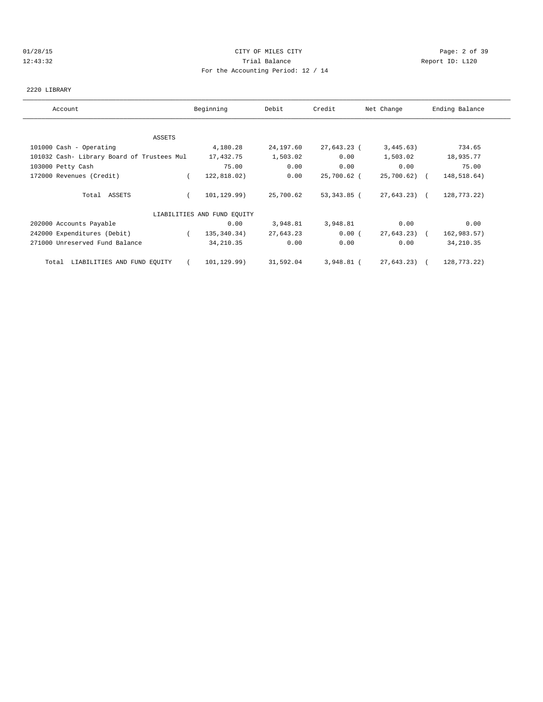### 01/28/15 CITY OF MILES CITY Page: 2 of 39 12:43:32 Trial Balance Report ID: L120 For the Accounting Period: 12 / 14

### 2220 LIBRARY

| Ending Balance<br>Beginning<br>Debit<br>Credit<br>Net Change<br>Account<br>ASSETS<br>734.65<br>101000 Cash - Operating<br>4,180.28<br>24,197.60<br>27,643.23 (<br>3,445.63)<br>1,503.02<br>0.00<br>101032 Cash- Library Board of Trustees Mul<br>17,432.75<br>1,503.02<br>18,935.77<br>75.00<br>0.00<br>0.00<br>0.00<br>103000 Petty Cash<br>75.00<br>172000 Revenues (Credit)<br>122,818.02)<br>0.00<br>25,700.62 (<br>25,700.62) (<br>148,518.64)<br>Total ASSETS<br>101, 129.99)<br>25,700.62<br>27,643.23) (<br>128,773.22)<br>53,343.85 (<br>LIABILITIES AND FUND EQUITY<br>0.00<br>0.00<br>202000 Accounts Payable<br>3,948.81<br>3,948.81<br>0.00<br>242000 Expenditures (Debit)<br>135, 340. 34)<br>27,643.23<br>0.00(<br>27,643.23) (<br>162,983.57)<br>$\left($<br>271000 Unreserved Fund Balance<br>0.00<br>0.00<br>34, 210.35<br>0.00<br>34, 210.35<br>31,592.04<br>27,643.23) (<br>Total LIABILITIES AND FUND EQUITY<br>101,129.99)<br>3,948.81 (<br>128,773.22) |  |  |  |  |  |  |
|-------------------------------------------------------------------------------------------------------------------------------------------------------------------------------------------------------------------------------------------------------------------------------------------------------------------------------------------------------------------------------------------------------------------------------------------------------------------------------------------------------------------------------------------------------------------------------------------------------------------------------------------------------------------------------------------------------------------------------------------------------------------------------------------------------------------------------------------------------------------------------------------------------------------------------------------------------------------------------|--|--|--|--|--|--|
|                                                                                                                                                                                                                                                                                                                                                                                                                                                                                                                                                                                                                                                                                                                                                                                                                                                                                                                                                                               |  |  |  |  |  |  |
|                                                                                                                                                                                                                                                                                                                                                                                                                                                                                                                                                                                                                                                                                                                                                                                                                                                                                                                                                                               |  |  |  |  |  |  |
|                                                                                                                                                                                                                                                                                                                                                                                                                                                                                                                                                                                                                                                                                                                                                                                                                                                                                                                                                                               |  |  |  |  |  |  |
|                                                                                                                                                                                                                                                                                                                                                                                                                                                                                                                                                                                                                                                                                                                                                                                                                                                                                                                                                                               |  |  |  |  |  |  |
|                                                                                                                                                                                                                                                                                                                                                                                                                                                                                                                                                                                                                                                                                                                                                                                                                                                                                                                                                                               |  |  |  |  |  |  |
|                                                                                                                                                                                                                                                                                                                                                                                                                                                                                                                                                                                                                                                                                                                                                                                                                                                                                                                                                                               |  |  |  |  |  |  |
|                                                                                                                                                                                                                                                                                                                                                                                                                                                                                                                                                                                                                                                                                                                                                                                                                                                                                                                                                                               |  |  |  |  |  |  |
|                                                                                                                                                                                                                                                                                                                                                                                                                                                                                                                                                                                                                                                                                                                                                                                                                                                                                                                                                                               |  |  |  |  |  |  |
|                                                                                                                                                                                                                                                                                                                                                                                                                                                                                                                                                                                                                                                                                                                                                                                                                                                                                                                                                                               |  |  |  |  |  |  |
|                                                                                                                                                                                                                                                                                                                                                                                                                                                                                                                                                                                                                                                                                                                                                                                                                                                                                                                                                                               |  |  |  |  |  |  |
|                                                                                                                                                                                                                                                                                                                                                                                                                                                                                                                                                                                                                                                                                                                                                                                                                                                                                                                                                                               |  |  |  |  |  |  |
|                                                                                                                                                                                                                                                                                                                                                                                                                                                                                                                                                                                                                                                                                                                                                                                                                                                                                                                                                                               |  |  |  |  |  |  |
|                                                                                                                                                                                                                                                                                                                                                                                                                                                                                                                                                                                                                                                                                                                                                                                                                                                                                                                                                                               |  |  |  |  |  |  |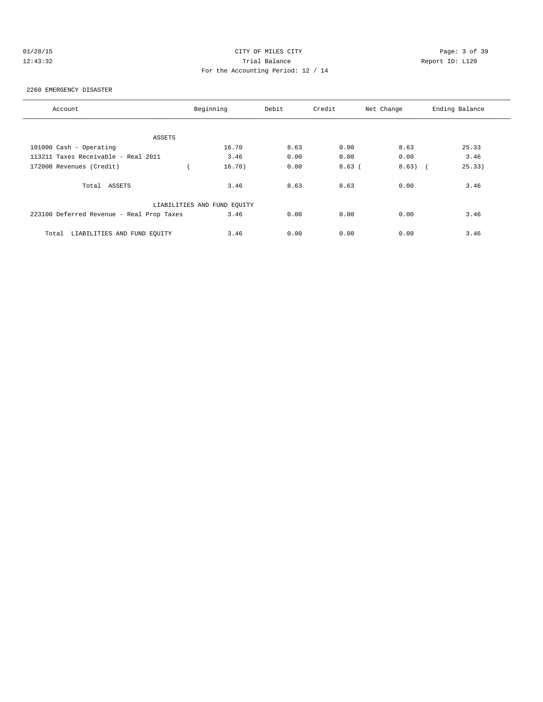# 01/28/15 CITY OF MILES CITY Page: 3 of 39 12:43:32 Trial Balance Report ID: L120 For the Accounting Period: 12 / 14

### 2260 EMERGENCY DISASTER

| Account                                   | Beginning                   | Debit | Credit | Net Change | Ending Balance |
|-------------------------------------------|-----------------------------|-------|--------|------------|----------------|
|                                           |                             |       |        |            |                |
| ASSETS                                    |                             |       |        |            |                |
| 101000 Cash - Operating                   | 16.70                       | 8.63  | 0.00   | 8.63       | 25.33          |
| 113211 Taxes Receivable - Real 2011       | 3.46                        | 0.00  | 0.00   | 0.00       | 3.46           |
| 172000 Revenues (Credit)                  | 16.70)                      | 0.00  | 8.63(  | 8.63)      | 25.33)         |
| Total ASSETS                              | 3.46                        | 8.63  | 8.63   | 0.00       | 3.46           |
|                                           | LIABILITIES AND FUND EQUITY |       |        |            |                |
| 223100 Deferred Revenue - Real Prop Taxes | 3.46                        | 0.00  | 0.00   | 0.00       | 3.46           |
| LIABILITIES AND FUND EQUITY<br>Total      | 3.46                        | 0.00  | 0.00   | 0.00       | 3.46           |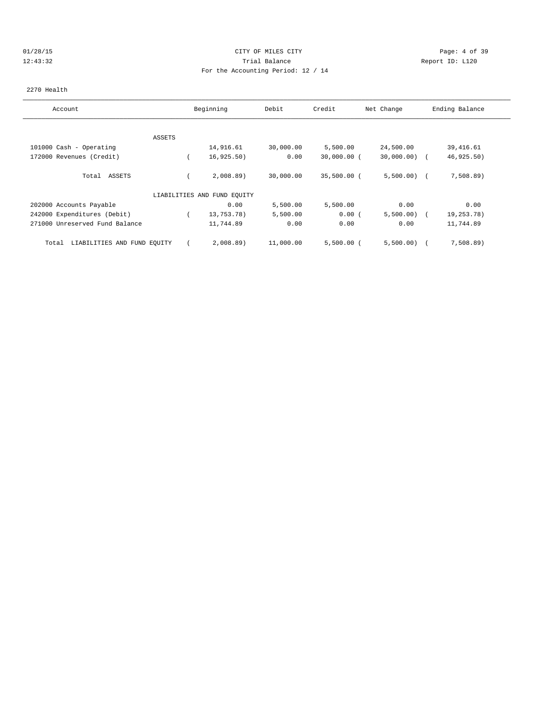# 01/28/15 CITY OF MILES CITY Page: 4 of 39 12:43:32 Trial Balance Report ID: L120 For the Accounting Period: 12 / 14

### 2270 Health

| Account                              |               | Beginning                   | Debit     | Credit        | Net Change     | Ending Balance |
|--------------------------------------|---------------|-----------------------------|-----------|---------------|----------------|----------------|
|                                      |               |                             |           |               |                |                |
|                                      | <b>ASSETS</b> |                             |           |               |                |                |
| 101000 Cash - Operating              |               | 14,916.61                   | 30,000.00 | 5,500.00      | 24,500.00      | 39,416.61      |
| 172000 Revenues (Credit)             |               | 16, 925.50)                 | 0.00      | $30,000.00$ ( | $30,000.00)$ ( | 46,925.50)     |
| Total ASSETS                         |               | 2,008.89                    | 30,000.00 | $35,500.00$ ( | 5,500.00)      | 7,508.89)      |
|                                      |               | LIABILITIES AND FUND EQUITY |           |               |                |                |
| 202000 Accounts Payable              |               | 0.00                        | 5,500.00  | 5,500.00      | 0.00           | 0.00           |
| 242000 Expenditures (Debit)          |               | 13,753.78)                  | 5,500.00  | 0.00(         | 5,500.00)      | 19,253.78)     |
| 271000 Unreserved Fund Balance       |               | 11,744.89                   | 0.00      | 0.00          | 0.00           | 11,744.89      |
| LIABILITIES AND FUND EQUITY<br>Total |               | 2,008.89                    | 11,000.00 | $5,500.00$ (  | 5,500.00)      | 7,508.89       |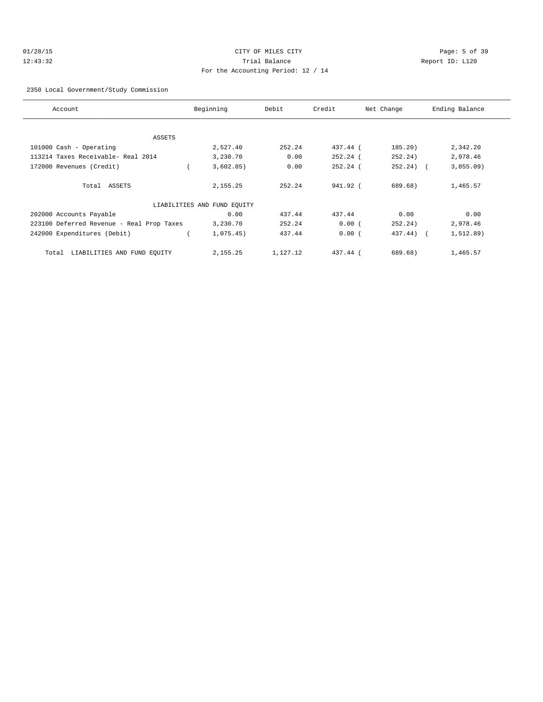# 01/28/15 CITY OF MILES CITY Page: 5 of 39 12:43:32 Trial Balance Report ID: L120 For the Accounting Period: 12 / 14

### 2350 Local Government/Study Commission

| Account                                   | Beginning                   | Debit    | Credit     | Net Change   | Ending Balance |
|-------------------------------------------|-----------------------------|----------|------------|--------------|----------------|
|                                           |                             |          |            |              |                |
| ASSETS                                    |                             |          |            |              |                |
| 101000 Cash - Operating                   | 2,527.40                    | 252.24   | 437.44 (   | 185.20)      | 2,342.20       |
| 113214 Taxes Receivable- Real 2014        | 3,230.70                    | 0.00     | $252.24$ ( | 252.24)      | 2,978.46       |
| 172000 Revenues (Credit)                  | 3,602.85)                   | 0.00     | $252.24$ ( | $252.24$ ) ( | 3,855.09       |
|                                           |                             |          |            |              |                |
| Total ASSETS                              | 2,155.25                    | 252.24   | 941.92 (   | 689.68)      | 1,465.57       |
|                                           | LIABILITIES AND FUND EQUITY |          |            |              |                |
| 202000 Accounts Payable                   | 0.00                        | 437.44   | 437.44     | 0.00         | 0.00           |
| 223100 Deferred Revenue - Real Prop Taxes | 3,230.70                    | 252.24   | 0.00(      | 252.24)      | 2,978.46       |
| 242000 Expenditures (Debit)               | 1,075.45)                   | 437.44   | 0.00(      | 437.44) (    | 1, 512.89)     |
|                                           |                             |          |            |              |                |
| LIABILITIES AND FUND EQUITY<br>Total      | 2,155.25                    | 1,127.12 | 437.44 (   | 689.68)      | 1,465.57       |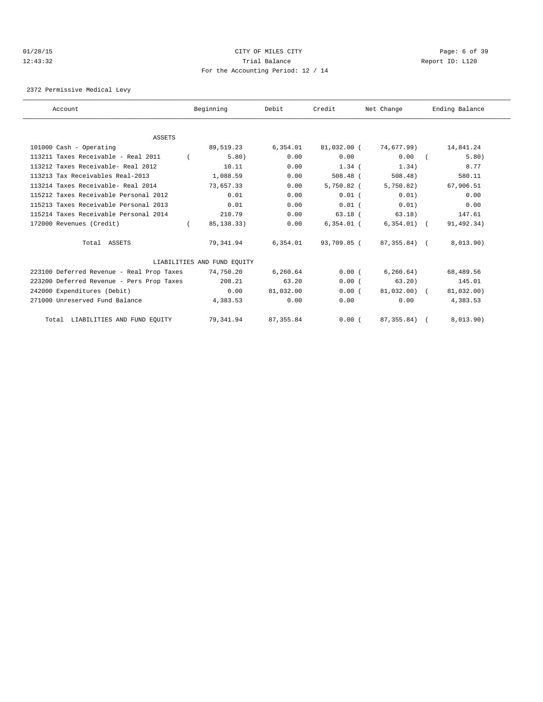# 01/28/15 CITY OF MILES CITY Page: 6 of 39 12:43:32 Trial Balance Report ID: L120 For the Accounting Period: 12 / 14

2372 Permissive Medical Levy

| Account                                   | Beginning                   | Debit      | Credit       | Net Change    | Ending Balance |  |
|-------------------------------------------|-----------------------------|------------|--------------|---------------|----------------|--|
|                                           |                             |            |              |               |                |  |
| <b>ASSETS</b>                             |                             |            |              |               |                |  |
| 101000 Cash - Operating                   | 89,519.23                   | 6, 354.01  | 81,032.00 (  | 74,677.99)    | 14,841.24      |  |
| 113211 Taxes Receivable - Real 2011       | 5.80)                       | 0.00       | 0.00         | 0.00          | 5.80)          |  |
| 113212 Taxes Receivable- Real 2012        | 10.11                       | 0.00       | $1.34$ (     | 1.34)         | 8.77           |  |
| 113213 Tax Receivables Real-2013          | 1,088.59                    | 0.00       | $508.48$ (   | $508.48$ )    | 580.11         |  |
| 113214 Taxes Receivable- Real 2014        | 73,657.33                   | 0.00       | $5,750.82$ ( | 5,750.82)     | 67,906.51      |  |
| 115212 Taxes Receivable Personal 2012     | 0.01                        | 0.00       | $0.01$ (     | 0.01)         | 0.00           |  |
| 115213 Taxes Receivable Personal 2013     | 0.01                        | 0.00       | $0.01$ (     | 0.01)         | 0.00           |  |
| 115214 Taxes Receivable Personal 2014     | 210.79                      | 0.00       | $63.18$ (    | 63.18)        | 147.61         |  |
| 172000 Revenues (Credit)                  | 85, 138. 33)                | 0.00       | $6,354.01$ ( | $6,354.01)$ ( | 91,492.34)     |  |
| Total ASSETS                              | 79,341.94                   | 6,354.01   | 93,709.85 (  | 87,355.84) (  | 8,013.90)      |  |
|                                           | LIABILITIES AND FUND EQUITY |            |              |               |                |  |
| 223100 Deferred Revenue - Real Prop Taxes | 74,750.20                   | 6,260.64   | 0.00(        | 6, 260.64)    | 68,489.56      |  |
| 223200 Deferred Revenue - Pers Prop Taxes | 208.21                      | 63.20      | 0.00(        | 63.20         | 145.01         |  |
| 242000 Expenditures (Debit)               | 0.00                        | 81,032.00  | 0.00(        | $81.032.00$ ( | 81,032.00)     |  |
| 271000 Unreserved Fund Balance            | 4,383.53                    | 0.00       | 0.00         | 0.00          | 4,383.53       |  |
| Total LIABILITIES AND FUND EQUITY         | 79, 341.94                  | 87, 355.84 | 0.00(        | 87, 355.84)   | 8,013.90)      |  |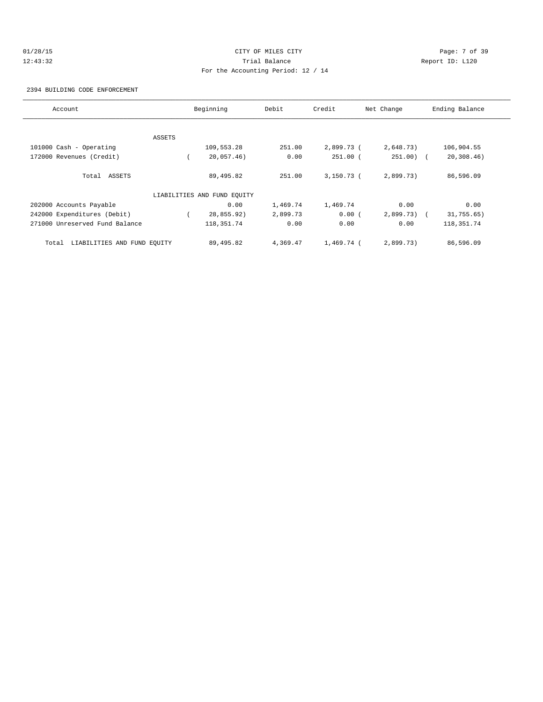# 01/28/15 CITY OF MILES CITY Page: 7 of 39 12:43:32 Trial Balance Report ID: L120 For the Accounting Period: 12 / 14

2394 BUILDING CODE ENFORCEMENT

| Account                              |        | Beginning                   | Debit    | Credit       | Net Change   | Ending Balance |
|--------------------------------------|--------|-----------------------------|----------|--------------|--------------|----------------|
|                                      |        |                             |          |              |              |                |
|                                      | ASSETS |                             |          |              |              |                |
| 101000 Cash - Operating              |        | 109,553.28                  | 251.00   | 2,899.73 (   | 2,648.73)    | 106,904.55     |
| 172000 Revenues (Credit)             |        | 20,057.46)                  | 0.00     | $251.00$ (   | $251.00$ ) ( | 20, 308.46)    |
| Total ASSETS                         |        | 89,495.82                   | 251.00   | $3,150.73$ ( | 2,899.73)    | 86,596.09      |
|                                      |        | LIABILITIES AND FUND EQUITY |          |              |              |                |
| 202000 Accounts Payable              |        | 0.00                        | 1,469.74 | 1,469.74     | 0.00         | 0.00           |
| 242000 Expenditures (Debit)          |        | 28,855.92)                  | 2,899.73 | 0.00(        | $2,899.73$ ( | 31,755.65)     |
| 271000 Unreserved Fund Balance       |        | 118, 351. 74                | 0.00     | 0.00         | 0.00         | 118,351.74     |
| LIABILITIES AND FUND EQUITY<br>Total |        | 89,495.82                   | 4,369.47 | $1.469.74$ ( | 2,899.73)    | 86,596.09      |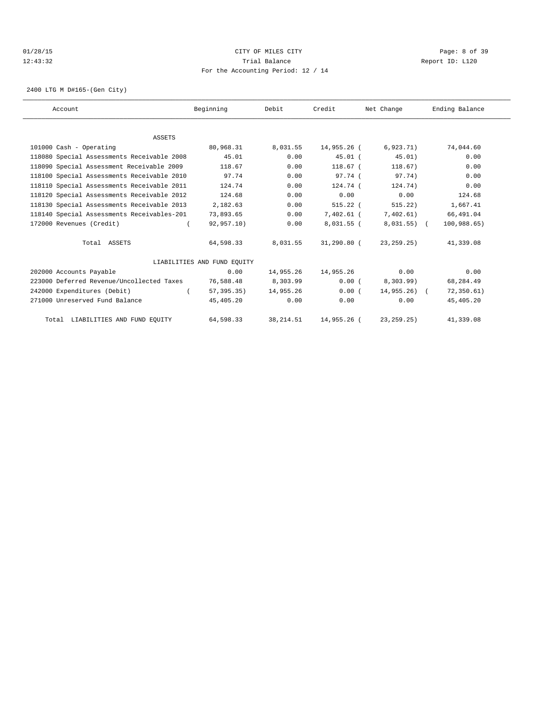# 01/28/15 CITY OF MILES CITY Page: 8 of 39 12:43:32 Trial Balance Report ID: L120 For the Accounting Period: 12 / 14

2400 LTG M D#165-(Gen City)

| Account                                    | Beginning                   | Debit      | Credit       | Net Change    | Ending Balance |  |
|--------------------------------------------|-----------------------------|------------|--------------|---------------|----------------|--|
|                                            |                             |            |              |               |                |  |
| <b>ASSETS</b>                              |                             |            |              |               |                |  |
| 101000 Cash - Operating                    | 80,968.31                   | 8,031.55   | 14,955.26 (  | 6,923.71)     | 74,044.60      |  |
| 118080 Special Assessments Receivable 2008 | 45.01                       | 0.00       | $45.01$ (    | 45.01)        | 0.00           |  |
| 118090 Special Assessment Receivable 2009  | 118.67                      | 0.00       | 118.67 (     | 118.67)       | 0.00           |  |
| 118100 Special Assessments Receivable 2010 | 97.74                       | 0.00       | $97.74$ (    | 97.74)        | 0.00           |  |
| 118110 Special Assessments Receivable 2011 | 124.74                      | 0.00       | $124.74$ (   | 124.74)       | 0.00           |  |
| 118120 Special Assessments Receivable 2012 | 124.68                      | 0.00       | 0.00         | 0.00          | 124.68         |  |
| 118130 Special Assessments Receivable 2013 | 2,182.63                    | 0.00       | $515.22$ (   | 515.22)       | 1,667.41       |  |
| 118140 Special Assessments Receivables-201 | 73,893.65                   | 0.00       | 7,402.61 (   | 7,402.61)     | 66,491.04      |  |
| 172000 Revenues (Credit)                   | 92,957.10)                  | 0.00       | $8,031.55$ ( | $8,031.55)$ ( | 100,988.65)    |  |
| Total ASSETS                               | 64,598.33                   | 8,031.55   | 31,290.80 (  | 23, 259. 25)  | 41,339.08      |  |
|                                            | LIABILITIES AND FUND EOUITY |            |              |               |                |  |
| 202000 Accounts Payable                    | 0.00                        | 14,955.26  | 14,955.26    | 0.00          | 0.00           |  |
| 223000 Deferred Revenue/Uncollected Taxes  | 76,588.48                   | 8,303.99   | 0.00(        | 8,303.99      | 68,284.49      |  |
| 242000 Expenditures (Debit)                | 57,395.35)                  | 14,955.26  | 0.00(        | $14,955.26$ ( | 72, 350.61)    |  |
| 271000 Unreserved Fund Balance             | 45,405.20                   | 0.00       | 0.00         | 0.00          | 45,405.20      |  |
| Total LIABILITIES AND FUND EQUITY          | 64,598.33                   | 38, 214.51 | 14,955.26 (  | 23, 259.25)   | 41,339.08      |  |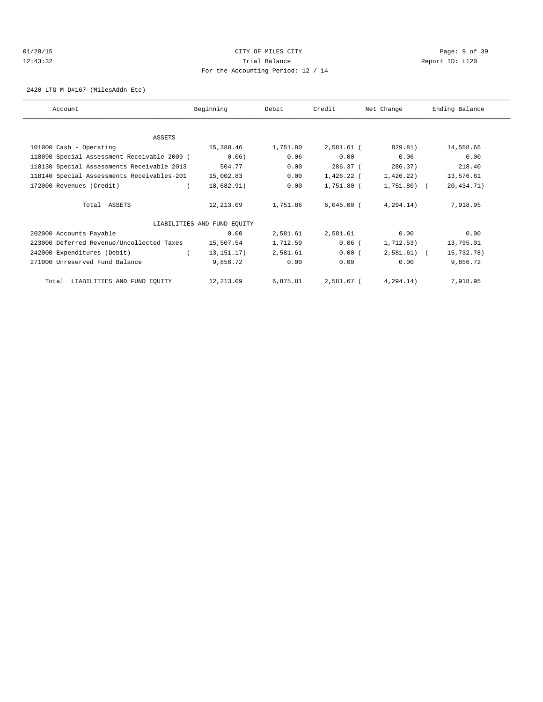# 01/28/15 CITY OF MILES CITY Page: 9 of 39 12:43:32 Trial Balance Report ID: L120 For the Accounting Period: 12 / 14

2420 LTG M D#167-(MilesAddn Etc)

| Account                                     | Beginning                   | Debit    | Credit       | Net Change   | Ending Balance |
|---------------------------------------------|-----------------------------|----------|--------------|--------------|----------------|
|                                             |                             |          |              |              |                |
| ASSETS                                      |                             |          |              |              |                |
| 101000 Cash - Operating                     | 15,388.46                   | 1,751.80 | 2,581.61 (   | 829.81)      | 14,558.65      |
| 118090 Special Assessment Receivable 2009 ( | 0.06)                       | 0.06     | 0.00         | 0.06         | 0.00           |
| 118130 Special Assessments Receivable 2013  | 504.77                      | 0.00     | 286.37 (     | 286.37)      | 218.40         |
| 118140 Special Assessments Receivables-201  | 15,002.83                   | 0.00     | 1,426.22 (   | 1,426.22)    | 13,576.61      |
| 172000 Revenues (Credit)                    | 18,682.91)                  | 0.00     | 1,751.80 (   | 1,751.80) (  | 20,434.71)     |
| Total ASSETS                                | 12,213.09                   | 1,751.86 | $6,046.00$ ( | 4, 294.14)   | 7,918.95       |
|                                             | LIABILITIES AND FUND EQUITY |          |              |              |                |
| 202000 Accounts Payable                     | 0.00                        | 2,581.61 | 2,581.61     | 0.00         | 0.00           |
| 223000 Deferred Revenue/Uncollected Taxes   | 15,507.54                   | 1,712.59 | $0.06$ (     | 1,712.53)    | 13,795.01      |
| 242000 Expenditures (Debit)                 | 13, 151. 17)                | 2,581.61 | 0.00(        | $2,581.61$ ( | 15,732.78)     |
| 271000 Unreserved Fund Balance              | 9,856.72                    | 0.00     | 0.00         | 0.00         | 9,856.72       |
| Total LIABILITIES AND FUND EQUITY           | 12,213.09                   | 6,875.81 | 2,581.67 (   | 4, 294.14)   | 7,918.95       |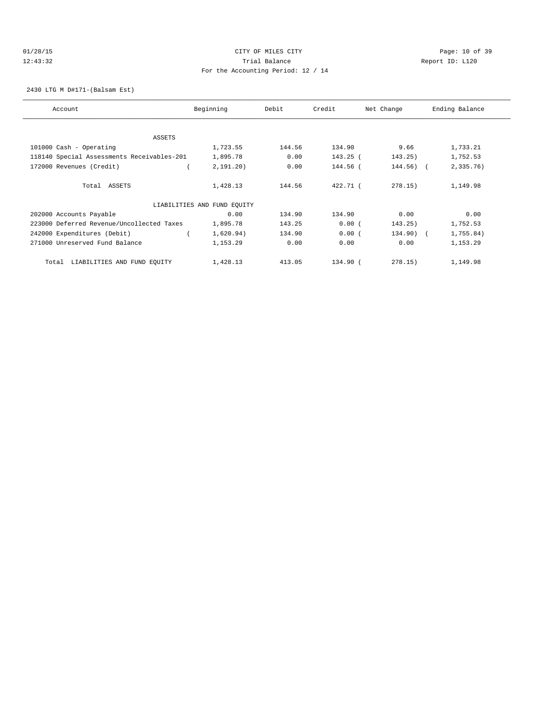# 01/28/15 Page: 10 of 39 12:43:32 Trial Balance Report ID: L120 For the Accounting Period: 12 / 14

2430 LTG M D#171-(Balsam Est)

| Account                                    | Beginning                   | Debit  | Credit   | Net Change   | Ending Balance |
|--------------------------------------------|-----------------------------|--------|----------|--------------|----------------|
|                                            |                             |        |          |              |                |
| ASSETS                                     |                             |        |          |              |                |
| 101000 Cash - Operating                    | 1,723.55                    | 144.56 | 134.90   | 9.66         | 1,733.21       |
| 118140 Special Assessments Receivables-201 | 1,895.78                    | 0.00   | 143.25 ( | 143.25)      | 1,752.53       |
| 172000 Revenues (Credit)                   | 2, 191, 20)                 | 0.00   | 144.56 ( | $144.56$ ) ( | 2,335.76)      |
| Total ASSETS                               | 1,428.13                    | 144.56 | 422.71 ( | 278.15)      | 1,149.98       |
|                                            | LIABILITIES AND FUND EQUITY |        |          |              |                |
| 202000 Accounts Payable                    | 0.00                        | 134.90 | 134.90   | 0.00         | 0.00           |
| 223000 Deferred Revenue/Uncollected Taxes  | 1,895.78                    | 143.25 | 0.00(    | 143.25)      | 1,752.53       |
| 242000 Expenditures (Debit)                | 1,620.94)                   | 134.90 | 0.00(    | $134.90$ ) ( | 1,755.84)      |
| 271000 Unreserved Fund Balance             | 1,153.29                    | 0.00   | 0.00     | 0.00         | 1,153.29       |
| LIABILITIES AND FUND EQUITY<br>Total       | 1,428.13                    | 413.05 | 134.90 ( | 278.15)      | 1,149.98       |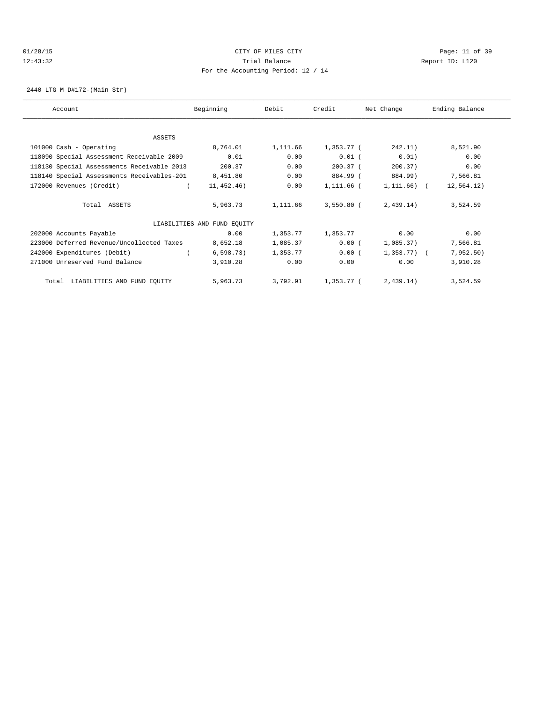# 01/28/15 Page: 11 of 39 12:43:32 Trial Balance Report ID: L120 For the Accounting Period: 12 / 14

2440 LTG M D#172-(Main Str)

| Account                                    | Beginning                   | Debit    | Credit       | Net Change     | Ending Balance |
|--------------------------------------------|-----------------------------|----------|--------------|----------------|----------------|
|                                            |                             |          |              |                |                |
| ASSETS                                     |                             |          |              |                |                |
| 101000 Cash - Operating                    | 8,764.01                    | 1,111.66 | 1,353.77 (   | 242.11)        | 8,521.90       |
| 118090 Special Assessment Receivable 2009  | 0.01                        | 0.00     | $0.01$ (     | 0.01)          | 0.00           |
| 118130 Special Assessments Receivable 2013 | 200.37                      | 0.00     | $200.37$ (   | 200.37)        | 0.00           |
| 118140 Special Assessments Receivables-201 | 8,451.80                    | 0.00     | 884.99 (     | 884.99)        | 7,566.81       |
| 172000 Revenues (Credit)                   | 11,452.46)                  | 0.00     | 1,111.66 (   | $1,111.66$ ) ( | 12,564.12)     |
| Total ASSETS                               | 5,963.73                    | 1,111.66 | $3,550.80$ ( | 2,439.14)      | 3,524.59       |
|                                            | LIABILITIES AND FUND EQUITY |          |              |                |                |
| 202000 Accounts Payable                    | 0.00                        | 1,353.77 | 1,353.77     | 0.00           | 0.00           |
| 223000 Deferred Revenue/Uncollected Taxes  | 8,652.18                    | 1,085.37 | 0.00(        | 1,085.37)      | 7,566.81       |
| 242000 Expenditures (Debit)                | 6, 598.73)                  | 1,353.77 | 0.00(        | $1,353.77$ ) ( | 7,952.50)      |
| 271000 Unreserved Fund Balance             | 3,910.28                    | 0.00     | 0.00         | 0.00           | 3,910.28       |
| Total LIABILITIES AND FUND EQUITY          | 5,963.73                    | 3,792.91 | 1,353.77 (   | 2,439.14)      | 3,524.59       |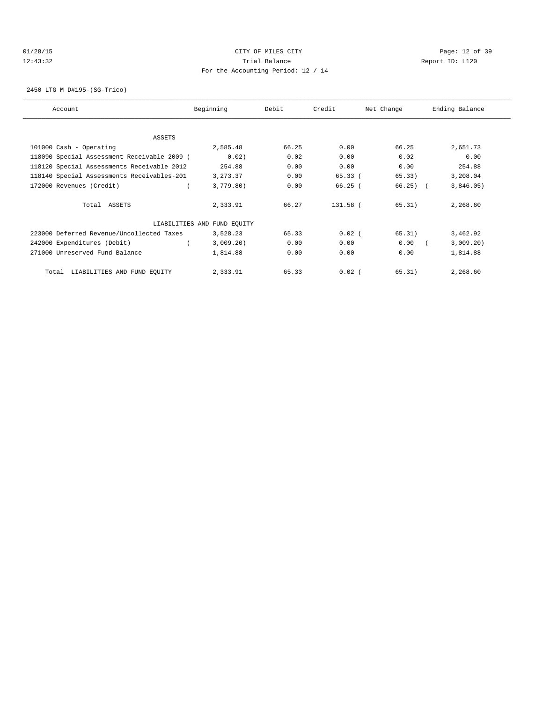# 01/28/15 Page: 12 of 39 12:43:32 Trial Balance Report ID: L120 For the Accounting Period: 12 / 14

2450 LTG M D#195-(SG-Trico)

| Account                                     | Beginning                   | Debit | Credit   | Net Change | Ending Balance |
|---------------------------------------------|-----------------------------|-------|----------|------------|----------------|
|                                             |                             |       |          |            |                |
| ASSETS                                      |                             |       |          |            |                |
| 101000 Cash - Operating                     | 2,585.48                    | 66.25 | 0.00     | 66.25      | 2,651.73       |
| 118090 Special Assessment Receivable 2009 ( | 0.02)                       | 0.02  | 0.00     | 0.02       | 0.00           |
| 118120 Special Assessments Receivable 2012  | 254.88                      | 0.00  | 0.00     | 0.00       | 254.88         |
| 118140 Special Assessments Receivables-201  | 3, 273.37                   | 0.00  | 65.33(   | 65.33)     | 3,208.04       |
| 172000 Revenues (Credit)                    | 3,779.80)                   | 0.00  | 66.25(   | $66.25$ (  | 3,846.05)      |
| Total ASSETS                                | 2,333.91                    | 66.27 | 131.58 ( | 65.31)     | 2,268.60       |
|                                             | LIABILITIES AND FUND EQUITY |       |          |            |                |
| 223000 Deferred Revenue/Uncollected Taxes   | 3,528.23                    | 65.33 | $0.02$ ( | 65.31)     | 3,462.92       |
| 242000 Expenditures (Debit)                 | 3,009.20)                   | 0.00  | 0.00     | 0.00       | 3,009.20)      |
| 271000 Unreserved Fund Balance              | 1,814.88                    | 0.00  | 0.00     | 0.00       | 1,814.88       |
| LIABILITIES AND FUND EQUITY<br>Total        | 2,333.91                    | 65.33 | $0.02$ ( | 65.31)     | 2,268.60       |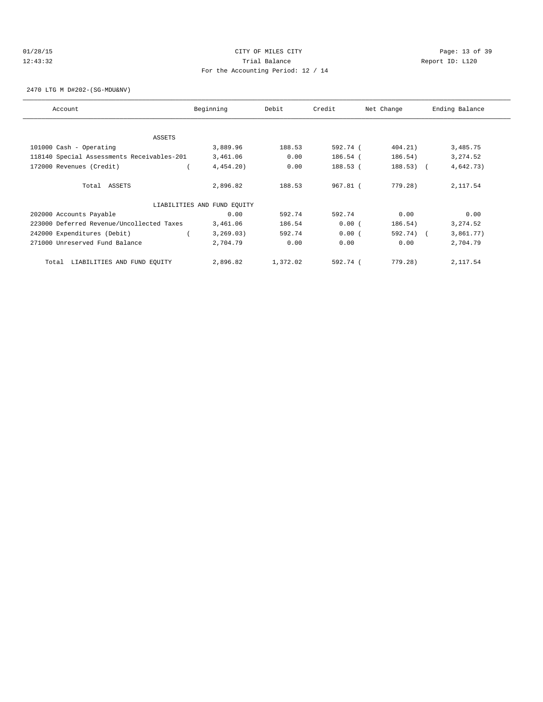# 01/28/15 Page: 13 of 39 12:43:32 Trial Balance Report ID: L120 For the Accounting Period: 12 / 14

2470 LTG M D#202-(SG-MDU&NV)

| Account                                    | Beginning                   | Debit    | Credit   | Net Change  | Ending Balance |
|--------------------------------------------|-----------------------------|----------|----------|-------------|----------------|
| ASSETS                                     |                             |          |          |             |                |
| 101000 Cash - Operating                    | 3,889.96                    | 188.53   | 592.74 ( | 404.21)     | 3,485.75       |
| 118140 Special Assessments Receivables-201 | 3,461.06                    | 0.00     | 186.54 ( | 186.54)     | 3,274.52       |
| 172000 Revenues (Credit)                   | 4,454.20                    | 0.00     | 188.53 ( | $188.53)$ ( | 4,642.73)      |
| Total ASSETS                               | 2,896.82                    | 188.53   | 967.81 ( | 779.28)     | 2,117.54       |
|                                            | LIABILITIES AND FUND EQUITY |          |          |             |                |
| 202000 Accounts Payable                    | 0.00                        | 592.74   | 592.74   | 0.00        | 0.00           |
| 223000 Deferred Revenue/Uncollected Taxes  | 3,461.06                    | 186.54   | 0.00(    | 186.54)     | 3, 274.52      |
| 242000 Expenditures (Debit)                | 3, 269.03)                  | 592.74   | 0.00(    | 592.74) (   | 3,861.77)      |
| 271000 Unreserved Fund Balance             | 2,704.79                    | 0.00     | 0.00     | 0.00        | 2,704.79       |
| LIABILITIES AND FUND EQUITY<br>Total       | 2,896.82                    | 1,372.02 | 592.74 ( | 779.28)     | 2,117.54       |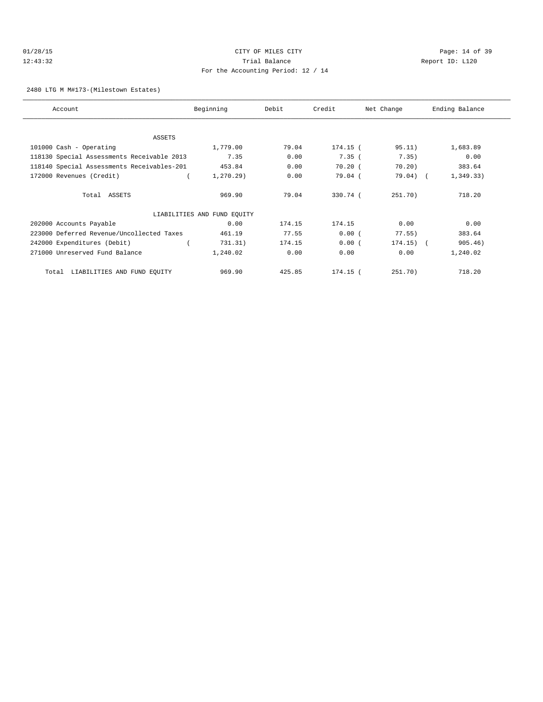# 01/28/15 Page: 14 of 39 12:43:32 Trial Balance Report ID: L120 For the Accounting Period: 12 / 14

2480 LTG M M#173-(Milestown Estates)

| Account                                    | Beginning                   | Debit  | Credit   | Net Change  | Ending Balance |
|--------------------------------------------|-----------------------------|--------|----------|-------------|----------------|
|                                            |                             |        |          |             |                |
| ASSETS                                     |                             |        |          |             |                |
| 101000 Cash - Operating                    | 1,779.00                    | 79.04  | 174.15 ( | 95.11)      | 1,683.89       |
| 118130 Special Assessments Receivable 2013 | 7.35                        | 0.00   | 7.35(    | 7.35)       | 0.00           |
| 118140 Special Assessments Receivables-201 | 453.84                      | 0.00   | 70.20(   | 70.20)      | 383.64         |
| 172000 Revenues (Credit)                   | 1, 270.29                   | 0.00   | 79.04 (  | $79.04)$ (  | 1,349.33)      |
| Total ASSETS                               | 969.90                      | 79.04  | 330.74 ( | 251.70)     | 718.20         |
|                                            | LIABILITIES AND FUND EQUITY |        |          |             |                |
| 202000 Accounts Payable                    | 0.00                        | 174.15 | 174.15   | 0.00        | 0.00           |
| 223000 Deferred Revenue/Uncollected Taxes  | 461.19                      | 77.55  | 0.00(    | 77.55)      | 383.64         |
| 242000 Expenditures (Debit)                | 731.31)                     | 174.15 | 0.00(    | $174.15)$ ( | 905.46)        |
| 271000 Unreserved Fund Balance             | 1,240.02                    | 0.00   | 0.00     | 0.00        | 1,240.02       |
| LIABILITIES AND FUND EQUITY<br>Total       | 969.90                      | 425.85 | 174.15 ( | 251.70)     | 718.20         |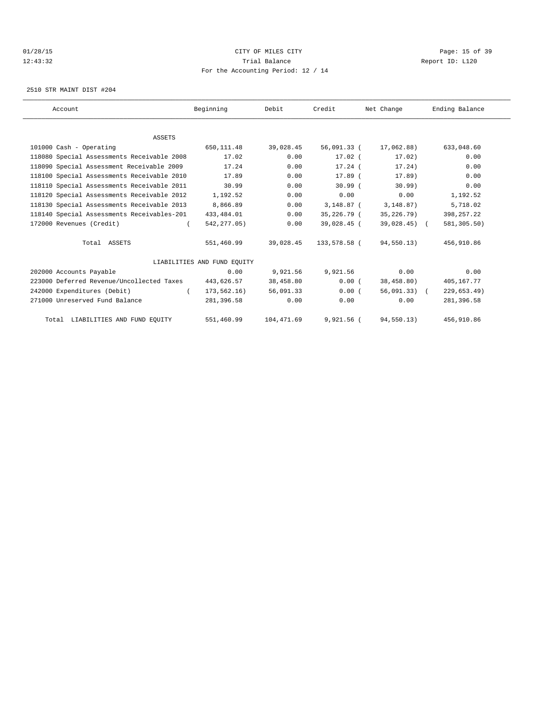# 01/28/15 Page: 15 of 39 12:43:32 Trial Balance Report ID: L120 For the Accounting Period: 12 / 14

2510 STR MAINT DIST #204

| Account                                    | Beginning                   | Debit      | Credit       | Net Change     | Ending Balance |  |
|--------------------------------------------|-----------------------------|------------|--------------|----------------|----------------|--|
|                                            |                             |            |              |                |                |  |
| ASSETS                                     |                             |            |              |                |                |  |
| 101000 Cash - Operating                    | 650,111.48                  | 39,028.45  | 56,091.33 (  | 17,062.88)     | 633,048.60     |  |
| 118080 Special Assessments Receivable 2008 | 17.02                       | 0.00       | $17.02$ (    | 17.02)         | 0.00           |  |
| 118090 Special Assessment Receivable 2009  | 17.24                       | 0.00       | $17.24$ (    | 17.24)         | 0.00           |  |
| 118100 Special Assessments Receivable 2010 | 17.89                       | 0.00       | $17.89$ $($  | 17.89)         | 0.00           |  |
| 118110 Special Assessments Receivable 2011 | 30.99                       | 0.00       | $30.99$ (    | 30.99)         | 0.00           |  |
| 118120 Special Assessments Receivable 2012 | 1,192.52                    | 0.00       | 0.00         | 0.00           | 1,192.52       |  |
| 118130 Special Assessments Receivable 2013 | 8,866.89                    | 0.00       | 3,148.87 (   | 3,148.87)      | 5,718.02       |  |
| 118140 Special Assessments Receivables-201 | 433,484.01                  | 0.00       | 35,226.79 (  | 35, 226. 79)   | 398, 257.22    |  |
| 172000 Revenues (Credit)                   | 542, 277.05)                | 0.00       | 39,028.45 (  | $39,028.45$ (  | 581, 305.50)   |  |
| Total ASSETS                               | 551,460.99                  | 39,028.45  | 133,578.58 ( | 94,550.13)     | 456,910.86     |  |
|                                            | LIABILITIES AND FUND EOUITY |            |              |                |                |  |
| 202000 Accounts Payable                    | 0.00                        | 9,921.56   | 9,921.56     | 0.00           | 0.00           |  |
| 223000 Deferred Revenue/Uncollected Taxes  | 443,626.57                  | 38,458.80  | 0.00(        | 38,458.80)     | 405,167.77     |  |
| 242000 Expenditures (Debit)                | 173,562.16)                 | 56,091.33  | 0.00(        | $56,091.33)$ ( | 229, 653.49)   |  |
| 271000 Unreserved Fund Balance             | 281,396.58                  | 0.00       | 0.00         | 0.00           | 281,396.58     |  |
| Total LIABILITIES AND FUND EQUITY          | 551,460.99                  | 104,471.69 | $9,921.56$ ( | 94,550.13)     | 456,910.86     |  |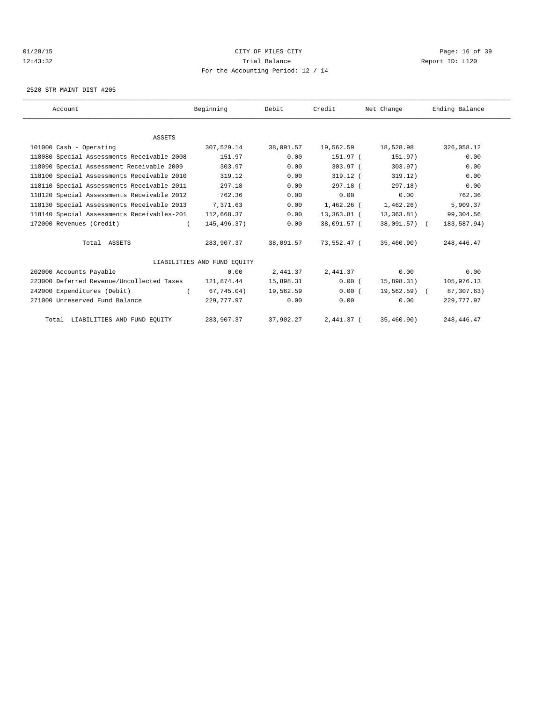# 01/28/15 Page: 16 of 39 12:43:32 Trial Balance Report ID: L120 For the Accounting Period: 12 / 14

2520 STR MAINT DIST #205

| Account                                    | Beginning                   | Debit     | Credit      | Net Change    | Ending Balance |  |
|--------------------------------------------|-----------------------------|-----------|-------------|---------------|----------------|--|
|                                            |                             |           |             |               |                |  |
| ASSETS                                     |                             |           |             |               |                |  |
| 101000 Cash - Operating                    | 307,529.14                  | 38,091.57 | 19,562.59   | 18,528.98     | 326,058.12     |  |
| 118080 Special Assessments Receivable 2008 | 151.97                      | 0.00      | 151.97 (    | 151.97)       | 0.00           |  |
| 118090 Special Assessment Receivable 2009  | 303.97                      | 0.00      | $303.97$ (  | 303.97)       | 0.00           |  |
| 118100 Special Assessments Receivable 2010 | 319.12                      | 0.00      | $319.12$ (  | 319.12)       | 0.00           |  |
| 118110 Special Assessments Receivable 2011 | 297.18                      | 0.00      | 297.18 (    | 297.18)       | 0.00           |  |
| 118120 Special Assessments Receivable 2012 | 762.36                      | 0.00      | 0.00        | 0.00          | 762.36         |  |
| 118130 Special Assessments Receivable 2013 | 7,371.63                    | 0.00      | 1,462.26 (  | 1,462.26      | 5,909.37       |  |
| 118140 Special Assessments Receivables-201 | 112,668.37                  | 0.00      | 13,363.81 ( | 13,363.81)    | 99,304.56      |  |
| 172000 Revenues (Credit)                   | 145,496.37)                 | 0.00      | 38,091.57 ( | 38,091.57) (  | 183,587.94)    |  |
| Total ASSETS                               | 283,907.37                  | 38,091.57 | 73,552.47 ( | 35,460.90)    | 248,446.47     |  |
|                                            | LIABILITIES AND FUND EOUITY |           |             |               |                |  |
| 202000 Accounts Payable                    | 0.00                        | 2,441.37  | 2,441.37    | 0.00          | 0.00           |  |
| 223000 Deferred Revenue/Uncollected Taxes  | 121,874.44                  | 15,898.31 | 0.00(       | 15,898.31)    | 105,976.13     |  |
| 242000 Expenditures (Debit)                | 67,745.04)                  | 19,562.59 | 0.00(       | $19,562.59$ ( | 87, 307.63)    |  |
| 271000 Unreserved Fund Balance             | 229,777.97                  | 0.00      | 0.00        | 0.00          | 229,777.97     |  |
| Total LIABILITIES AND FUND EQUITY          | 283,907.37                  | 37,902.27 | 2,441.37 (  | 35,460.90)    | 248, 446. 47   |  |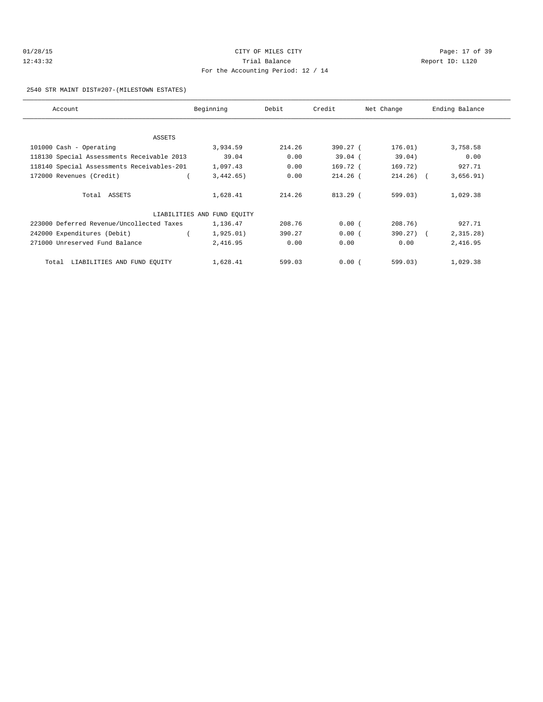# 01/28/15 Page: 17 of 39 12:43:32 Trial Balance Report ID: L120 For the Accounting Period: 12 / 14

#### 2540 STR MAINT DIST#207-(MILESTOWN ESTATES)

| Account                                    | Beginning                   | Debit  | Credit     | Net Change   | Ending Balance |  |  |
|--------------------------------------------|-----------------------------|--------|------------|--------------|----------------|--|--|
|                                            |                             |        |            |              |                |  |  |
| ASSETS                                     |                             |        |            |              |                |  |  |
| 101000 Cash - Operating                    | 3,934.59                    | 214.26 | 390.27 (   | 176.01)      | 3,758.58       |  |  |
| 118130 Special Assessments Receivable 2013 | 39.04                       | 0.00   | $39.04$ (  | 39.04)       | 0.00           |  |  |
| 118140 Special Assessments Receivables-201 | 1,097.43                    | 0.00   | 169.72 (   | 169.72)      | 927.71         |  |  |
| 172000 Revenues (Credit)                   | 3,442.65)                   | 0.00   | $214.26$ ( | $214.26$ ) ( | 3,656.91)      |  |  |
| Total ASSETS                               | 1,628.41                    | 214.26 | 813.29 (   | 599.03)      | 1,029.38       |  |  |
|                                            | LIABILITIES AND FUND EQUITY |        |            |              |                |  |  |
| 223000 Deferred Revenue/Uncollected Taxes  | 1,136.47                    | 208.76 | 0.00(      | 208.76)      | 927.71         |  |  |
| 242000 Expenditures (Debit)                | 1,925.01)                   | 390.27 | 0.00(      | $390.27$ ) ( | 2,315.28)      |  |  |
| 271000 Unreserved Fund Balance             | 2,416.95                    | 0.00   | 0.00       | 0.00         | 2,416.95       |  |  |
| LIABILITIES AND FUND EQUITY<br>Total       | 1,628.41                    | 599.03 | 0.00(      | 599.03)      | 1,029.38       |  |  |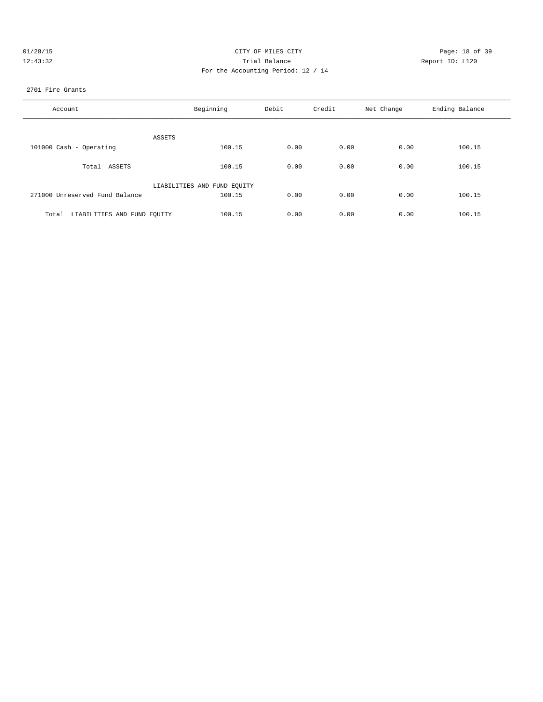| 01/28/15 | CITY OF MILES CITY                 | Page: 18 of 39  |
|----------|------------------------------------|-----------------|
| 12:43:32 | Trial Balance                      | Report ID: L120 |
|          | For the Accounting Period: 12 / 14 |                 |

2701 Fire Grants

| Account                              | Beginning                   | Debit | Credit | Net Change | Ending Balance |
|--------------------------------------|-----------------------------|-------|--------|------------|----------------|
| ASSETS                               |                             |       |        |            |                |
| 101000 Cash - Operating              | 100.15                      | 0.00  | 0.00   | 0.00       | 100.15         |
| Total ASSETS                         | 100.15                      | 0.00  | 0.00   | 0.00       | 100.15         |
|                                      | LIABILITIES AND FUND EOUITY |       |        |            |                |
| 271000 Unreserved Fund Balance       | 100.15                      | 0.00  | 0.00   | 0.00       | 100.15         |
| LIABILITIES AND FUND EQUITY<br>Total | 100.15                      | 0.00  | 0.00   | 0.00       | 100.15         |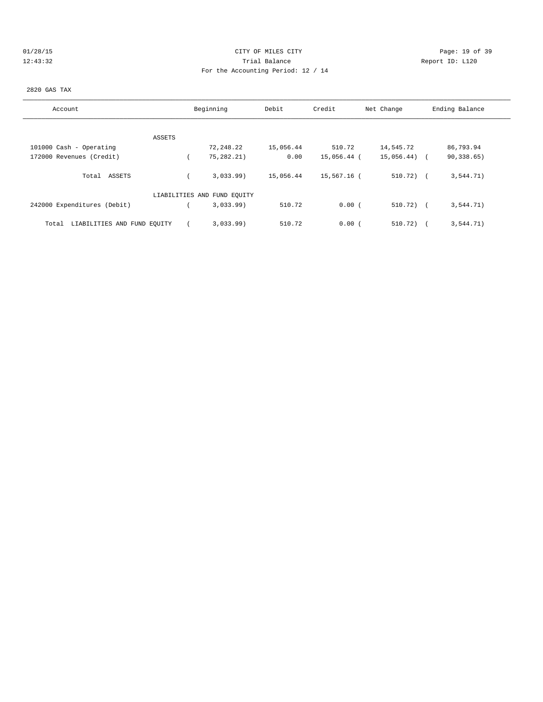# 01/28/15 Page: 19 of 39 12:43:32 Trial Balance Report ID: L120 For the Accounting Period: 12 / 14

### 2820 GAS TAX

| Account                              | Beginning |                             | Debit     | Credit      | Net Change   | Ending Balance |
|--------------------------------------|-----------|-----------------------------|-----------|-------------|--------------|----------------|
|                                      |           |                             |           |             |              |                |
| ASSETS                               |           |                             |           |             |              |                |
| 101000 Cash - Operating              |           | 72,248.22                   | 15,056.44 | 510.72      | 14,545.72    | 86,793.94      |
| 172000 Revenues (Credit)             |           | 75,282.21)                  | 0.00      | 15,056.44 ( | 15,056.44)   | 90,338.65)     |
| ASSETS<br>Total                      |           | 3,033.99                    | 15,056.44 | 15,567.16 ( | $510.72$ ) ( | 3,544.71)      |
|                                      |           | LIABILITIES AND FUND EQUITY |           |             |              |                |
| 242000 Expenditures (Debit)          |           | 3.033.99                    | 510.72    | 0.00(       | $510.72$ ) ( | 3,544.71)      |
| LIABILITIES AND FUND EQUITY<br>Total |           | 3,033.99                    | 510.72    | 0.00(       | 510.72)      | 3, 544.71)     |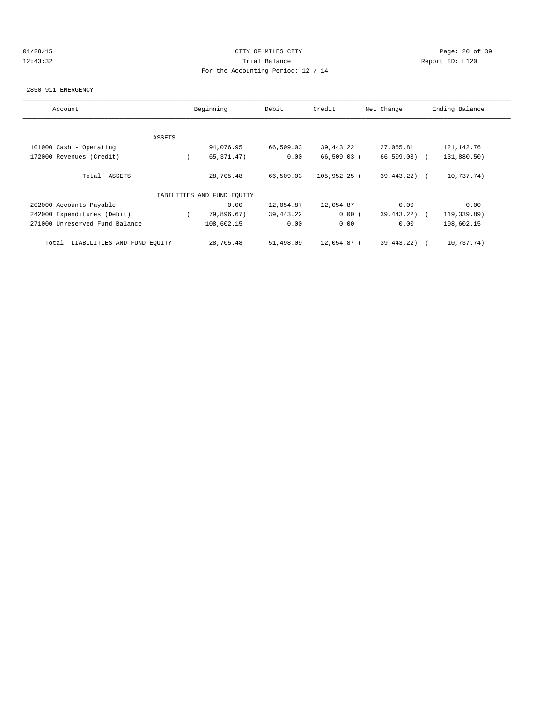# 01/28/15 Page: 20 of 39 12:43:32 Trial Balance Report ID: L120 For the Accounting Period: 12 / 14

#### 2850 911 EMERGENCY

| Account                              | Beginning |                             | Credit<br>Debit |                | Net Change   | Ending Balance |  |  |
|--------------------------------------|-----------|-----------------------------|-----------------|----------------|--------------|----------------|--|--|
|                                      |           |                             |                 |                |              |                |  |  |
|                                      | ASSETS    |                             |                 |                |              |                |  |  |
| 101000 Cash - Operating              |           | 94,076.95                   | 66,509.03       | 39, 443. 22    | 27,065.81    | 121,142.76     |  |  |
| 172000 Revenues (Credit)             |           | 65, 371.47)                 | 0.00            | 66,509.03 (    | 66,509.03) ( | 131,880.50)    |  |  |
| Total ASSETS                         |           | 28,705.48                   | 66,509.03       | $105,952.25$ ( | 39,443.22)   | 10,737.74)     |  |  |
|                                      |           | LIABILITIES AND FUND EQUITY |                 |                |              |                |  |  |
| 202000 Accounts Payable              |           | 0.00                        | 12,054.87       | 12,054.87      | 0.00         | 0.00           |  |  |
| 242000 Expenditures (Debit)          |           | 79,896.67)                  | 39,443.22       | 0.00(          | 39,443.22)   | 119,339.89)    |  |  |
| 271000 Unreserved Fund Balance       |           | 108,602.15                  | 0.00            | 0.00           | 0.00         | 108,602.15     |  |  |
| LIABILITIES AND FUND EQUITY<br>Total |           | 28,705.48                   | 51,498.09       | 12,054.87 (    | 39,443.22)   | 10,737.74)     |  |  |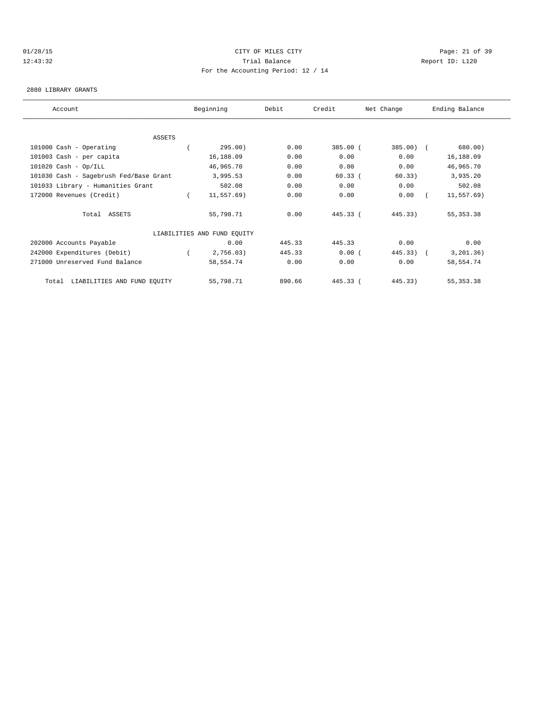# 01/28/15 Page: 21 of 39 12:43:32 Trial Balance Report ID: L120 For the Accounting Period: 12 / 14

### 2880 LIBRARY GRANTS

| Account                                |  | Beginning                   | Debit  | Credit    | Net Change  | Ending Balance |             |  |  |
|----------------------------------------|--|-----------------------------|--------|-----------|-------------|----------------|-------------|--|--|
|                                        |  |                             |        |           |             |                |             |  |  |
| <b>ASSETS</b>                          |  |                             |        |           |             |                |             |  |  |
| 101000 Cash - Operating                |  | 295.00)                     | 0.00   | 385.00 (  | $385.00$ (  |                | 680.00)     |  |  |
| 101003 Cash - per capita               |  | 16,188.09                   | 0.00   | 0.00      | 0.00        |                | 16,188.09   |  |  |
| $101020$ Cash - Op/ILL                 |  | 46,965.70                   | 0.00   | 0.00      | 0.00        |                | 46,965.70   |  |  |
| 101030 Cash - Sagebrush Fed/Base Grant |  | 3,995.53                    | 0.00   | $60.33$ ( | 60.33)      |                | 3,935.20    |  |  |
| 101033 Library - Humanities Grant      |  | 502.08                      | 0.00   | 0.00      | 0.00        |                | 502.08      |  |  |
| 172000 Revenues (Credit)               |  | 11,557.69)                  | 0.00   | 0.00      | 0.00        |                | 11, 557.69) |  |  |
| Total ASSETS                           |  | 55,798.71                   | 0.00   | 445.33 (  | 445.33)     |                | 55, 353. 38 |  |  |
|                                        |  | LIABILITIES AND FUND EQUITY |        |           |             |                |             |  |  |
| 202000 Accounts Payable                |  | 0.00                        | 445.33 | 445.33    | 0.00        |                | 0.00        |  |  |
| 242000 Expenditures (Debit)            |  | 2,756.03)                   | 445.33 | 0.00(     | $445.33)$ ( |                | 3, 201.36)  |  |  |
| 271000 Unreserved Fund Balance         |  | 58,554.74                   | 0.00   | 0.00      | 0.00        |                | 58,554.74   |  |  |
| LIABILITIES AND FUND EQUITY<br>Total   |  | 55,798.71                   | 890.66 | 445.33 (  | 445.33)     |                | 55, 353. 38 |  |  |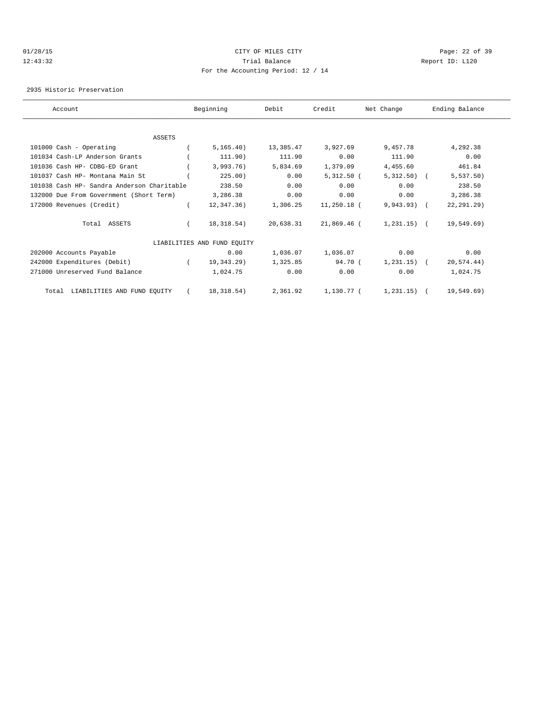# 01/28/15 Page: 22 of 39 12:43:32 Trial Balance Report ID: L120 For the Accounting Period: 12 / 14

2935 Historic Preservation

| Account                                    |  | Beginning                   | Debit     | Credit        | Net Change     | Ending Balance |              |  |  |
|--------------------------------------------|--|-----------------------------|-----------|---------------|----------------|----------------|--------------|--|--|
|                                            |  |                             |           |               |                |                |              |  |  |
| <b>ASSETS</b>                              |  |                             |           |               |                |                |              |  |  |
| 101000 Cash - Operating                    |  | 5, 165.40)                  | 13,385.47 | 3,927.69      | 9,457.78       |                | 4,292.38     |  |  |
| 101034 Cash-LP Anderson Grants             |  | 111.90)                     | 111.90    | 0.00          | 111.90         |                | 0.00         |  |  |
| 101036 Cash HP- CDBG-ED Grant              |  | 3,993.76)                   | 5,834.69  | 1,379.09      | 4,455.60       |                | 461.84       |  |  |
| 101037 Cash HP- Montana Main St            |  | 225.00)                     | 0.00      | $5,312.50$ (  | $5,312.50$ (   |                | 5,537.50     |  |  |
| 101038 Cash HP- Sandra Anderson Charitable |  | 238.50                      | 0.00      | 0.00          | 0.00           |                | 238.50       |  |  |
| 132000 Due From Government (Short Term)    |  | 3,286.38                    | 0.00      | 0.00          | 0.00           |                | 3,286.38     |  |  |
| 172000 Revenues (Credit)                   |  | 12,347.36)                  | 1,306.25  | $11,250.18$ ( | $9,943.93)$ (  |                | 22, 291, 29) |  |  |
| Total ASSETS                               |  | 18,318.54)                  | 20,638.31 | 21,869.46 (   | $1,231.15$ ) ( |                | 19,549.69)   |  |  |
|                                            |  | LIABILITIES AND FUND EQUITY |           |               |                |                |              |  |  |
| 202000 Accounts Payable                    |  | 0.00                        | 1,036.07  | 1,036.07      | 0.00           |                | 0.00         |  |  |
| 242000 Expenditures (Debit)                |  | 19,343.29)                  | 1,325.85  | 94.70 (       | $1,231.15$ ) ( |                | 20,574.44)   |  |  |
| 271000 Unreserved Fund Balance             |  | 1,024.75                    | 0.00      | 0.00          | 0.00           |                | 1,024.75     |  |  |
| Total LIABILITIES AND FUND EQUITY          |  | 18,318.54)                  | 2,361.92  | 1,130.77 (    | $1,231.15$ (   |                | 19,549.69)   |  |  |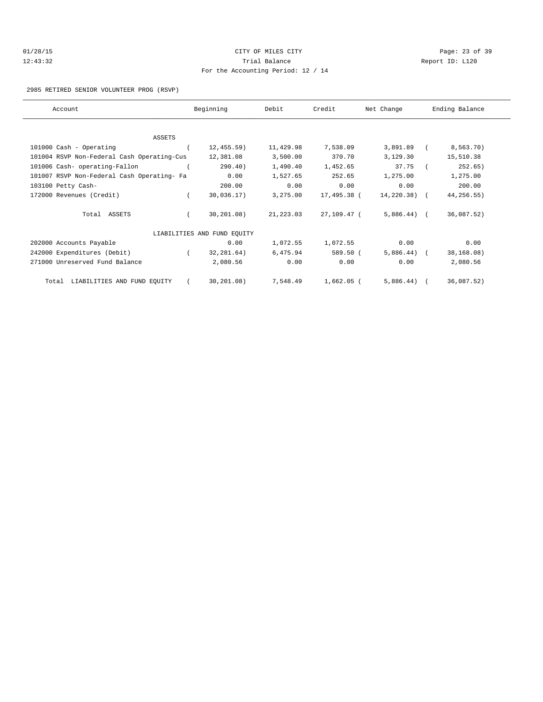# 01/28/15 Page: 23 of 39 12:43:32 Trial Balance Report ID: L120 For the Accounting Period: 12 / 14

### 2985 RETIRED SENIOR VOLUNTEER PROG (RSVP)

| Account |                                            | Beginning  |                             | Debit     | Credit      | Net Change     | Ending Balance |            |  |
|---------|--------------------------------------------|------------|-----------------------------|-----------|-------------|----------------|----------------|------------|--|
|         |                                            |            |                             |           |             |                |                |            |  |
|         | <b>ASSETS</b>                              |            |                             |           |             |                |                |            |  |
|         | 101000 Cash - Operating                    |            | 12, 455.59)                 | 11,429.98 | 7,538.09    | 3,891.89       |                | 8,563.70)  |  |
|         | 101004 RSVP Non-Federal Cash Operating-Cus |            | 12,381.08                   | 3,500.00  | 370.70      | 3,129.30       |                | 15,510.38  |  |
|         | 101006 Cash- operating-Fallon              |            | 290.40)                     | 1,490.40  | 1,452.65    | 37.75          |                | 252.65)    |  |
|         | 101007 RSVP Non-Federal Cash Operating- Fa |            | 0.00                        | 1,527.65  | 252.65      | 1,275.00       |                | 1,275.00   |  |
|         | 103100 Petty Cash-                         |            | 200.00                      | 0.00      | 0.00        | 0.00           |                | 200.00     |  |
|         | 172000 Revenues (Credit)                   |            | 30,036.17)                  | 3,275.00  | 17,495.38 ( | $14,220.38$ (  |                | 44,256.55) |  |
|         | Total ASSETS                               |            | 30,201.08)                  | 21,223.03 | 27,109.47 ( | $5,886.44$ ) ( |                | 36,087.52) |  |
|         |                                            |            | LIABILITIES AND FUND EQUITY |           |             |                |                |            |  |
|         | 202000 Accounts Payable                    |            | 0.00                        | 1,072.55  | 1,072.55    | 0.00           |                | 0.00       |  |
|         | 242000 Expenditures (Debit)                | $\sqrt{2}$ | 32,281.64)                  | 6,475.94  | 589.50 (    | $5,886.44$ ) ( |                | 38,168.08) |  |
|         | 271000 Unreserved Fund Balance             |            | 2,080.56                    | 0.00      | 0.00        | 0.00           |                | 2,080.56   |  |
|         | LIABILITIES AND FUND EQUITY<br>Total       |            | 30, 201.08)                 | 7,548.49  | 1,662.05 (  | 5,886.44)      |                | 36,087.52) |  |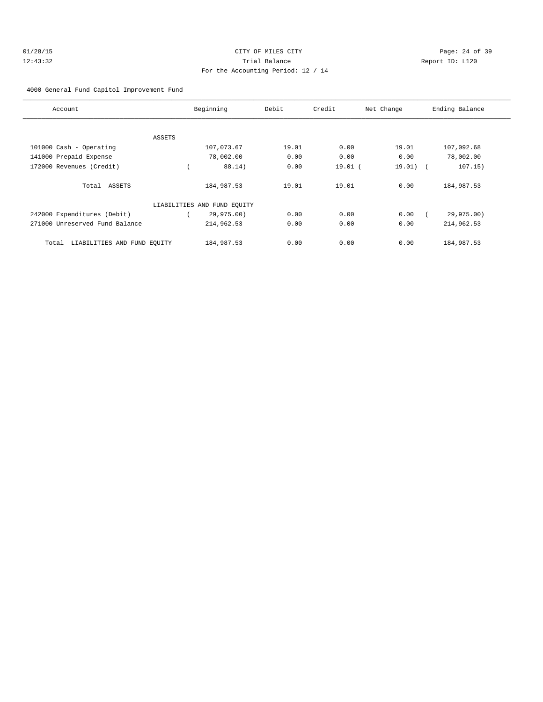# 01/28/15 Page: 24 of 39 12:43:32 Trial Balance Report ID: L120 For the Accounting Period: 12 / 14

### 4000 General Fund Capitol Improvement Fund

| Account                              | Beginning                   | Debit | Credit    | Net Change | Ending Balance |
|--------------------------------------|-----------------------------|-------|-----------|------------|----------------|
|                                      |                             |       |           |            |                |
| ASSETS                               |                             |       |           |            |                |
| 101000 Cash - Operating              | 107,073.67                  | 19.01 | 0.00      | 19.01      | 107,092.68     |
| 141000 Prepaid Expense               | 78,002.00                   | 0.00  | 0.00      | 0.00       | 78,002.00      |
| 172000 Revenues (Credit)             | 88.14)                      | 0.00  | $19.01$ ( | $19.01)$ ( | 107.15)        |
| Total ASSETS                         | 184,987.53                  | 19.01 | 19.01     | 0.00       | 184,987.53     |
|                                      | LIABILITIES AND FUND EQUITY |       |           |            |                |
| 242000 Expenditures (Debit)          | 29,975.00)                  | 0.00  | 0.00      | 0.00       | 29,975.00)     |
| 271000 Unreserved Fund Balance       | 214,962.53                  | 0.00  | 0.00      | 0.00       | 214,962.53     |
| LIABILITIES AND FUND EQUITY<br>Total | 184,987.53                  | 0.00  | 0.00      | 0.00       | 184,987.53     |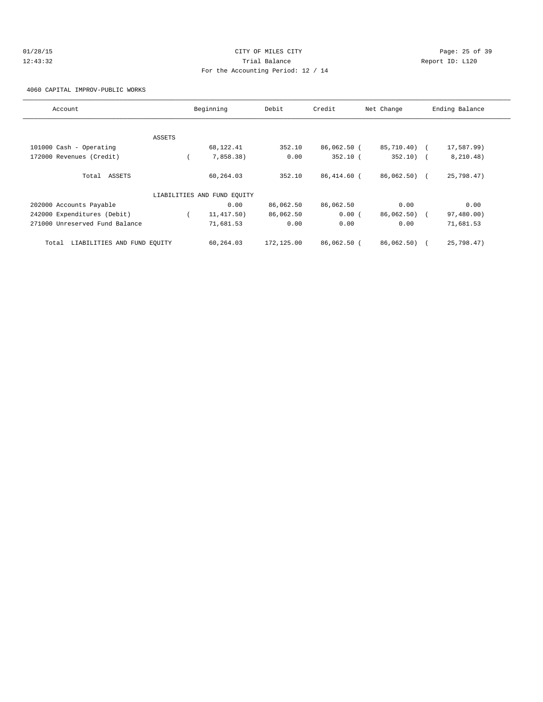# 01/28/15 Page: 25 of 39 12:43:32 Trial Balance Report ID: L120 For the Accounting Period: 12 / 14

4060 CAPITAL IMPROV-PUBLIC WORKS

| Account                              |        | Beginning                   | Debit      | Credit      | Net Change   | Ending Balance |
|--------------------------------------|--------|-----------------------------|------------|-------------|--------------|----------------|
|                                      |        |                             |            |             |              |                |
|                                      | ASSETS |                             |            |             |              |                |
| 101000 Cash - Operating              |        | 68, 122. 41                 | 352.10     | 86,062.50 ( | 85,710.40) ( | 17,587.99)     |
| 172000 Revenues (Credit)             |        | 7,858.38)                   | 0.00       | $352.10$ (  | $352.10$ (   | 8, 210.48)     |
| Total ASSETS                         |        | 60,264.03                   | 352.10     | 86,414.60 ( | 86,062.50) ( | 25,798.47)     |
|                                      |        | LIABILITIES AND FUND EOUITY |            |             |              |                |
| 202000 Accounts Payable              |        | 0.00                        | 86,062.50  | 86,062.50   | 0.00         | 0.00           |
| 242000 Expenditures (Debit)          |        | 11, 417.50)                 | 86,062.50  | 0.00(       | 86,062.50) ( | 97,480.00)     |
| 271000 Unreserved Fund Balance       |        | 71,681.53                   | 0.00       | 0.00        | 0.00         | 71,681.53      |
| LIABILITIES AND FUND EQUITY<br>Total |        | 60,264.03                   | 172,125.00 | 86,062.50 ( | 86,062.50)   | 25,798.47)     |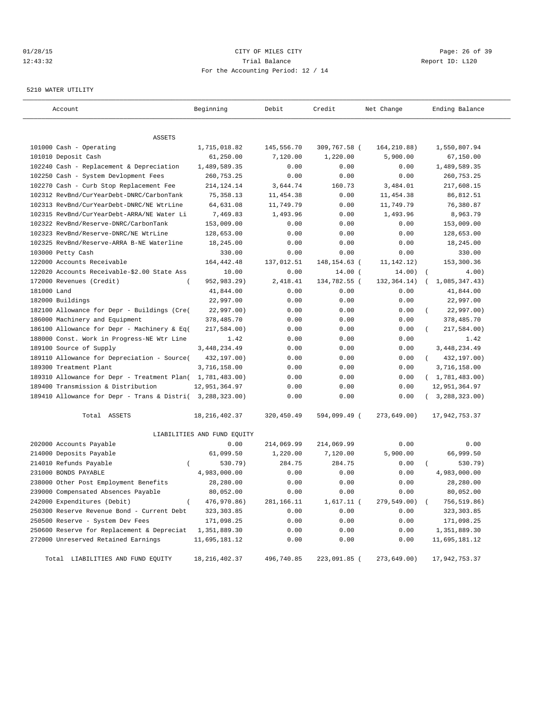### 01/28/15 Page: 26 of 39 12:43:32 Trial Balance Report ID: L120 For the Accounting Period: 12 / 14

#### 5210 WATER UTILITY

| Account                                                   | Beginning                   | Debit      | Credit         | Net Change    | Ending Balance          |
|-----------------------------------------------------------|-----------------------------|------------|----------------|---------------|-------------------------|
|                                                           |                             |            |                |               |                         |
| ASSETS                                                    |                             |            |                |               |                         |
| 101000 Cash - Operating                                   | 1,715,018.82                | 145,556.70 | 309,767.58 (   | 164,210.88)   | 1,550,807.94            |
| 101010 Deposit Cash                                       | 61,250.00                   | 7,120.00   | 1,220.00       | 5,900.00      | 67,150.00               |
| 102240 Cash - Replacement & Depreciation                  | 1,489,589.35                | 0.00       | 0.00           | 0.00          | 1,489,589.35            |
| 102250 Cash - System Devlopment Fees                      | 260,753.25                  | 0.00       | 0.00           | 0.00          | 260,753.25              |
| 102270 Cash - Curb Stop Replacement Fee                   | 214, 124. 14                | 3,644.74   | 160.73         | 3,484.01      | 217,608.15              |
| 102312 RevBnd/CurYearDebt-DNRC/CarbonTank                 | 75, 358.13                  | 11,454.38  | 0.00           | 11,454.38     | 86,812.51               |
| 102313 RevBnd/CurYearDebt-DNRC/NE WtrLine                 | 64,631.08                   | 11,749.79  | 0.00           | 11,749.79     | 76,380.87               |
| 102315 RevBnd/CurYearDebt-ARRA/NE Water Li                | 7,469.83                    | 1,493.96   | 0.00           | 1,493.96      | 8,963.79                |
| 102322 RevBnd/Reserve-DNRC/CarbonTank                     | 153,009.00                  | 0.00       | 0.00           | 0.00          | 153,009.00              |
| 102323 RevBnd/Reserve-DNRC/NE WtrLine                     | 128,653.00                  | 0.00       | 0.00           | 0.00          | 128,653.00              |
| 102325 RevBnd/Reserve-ARRA B-NE Waterline                 | 18,245.00                   | 0.00       | 0.00           | 0.00          | 18,245.00               |
| 103000 Petty Cash                                         | 330.00                      | 0.00       | 0.00           | 0.00          | 330.00                  |
| 122000 Accounts Receivable                                | 164, 442. 48                | 137,012.51 | 148, 154. 63 ( | 11, 142. 12)  | 153,300.36              |
| 122020 Accounts Receivable-\$2.00 State Ass               | 10.00                       | 0.00       | $14.00$ (      | 14.00)        | $\sqrt{ }$<br>4.00      |
| 172000 Revenues (Credit)<br>$\overline{ }$                | 952,983.29)                 | 2,418.41   | 134,782.55 (   | 132, 364. 14) | 1,085,347.43)           |
| 181000 Land                                               | 41,844.00                   | 0.00       | 0.00           | 0.00          | 41,844.00               |
| 182000 Buildings                                          | 22,997.00                   | 0.00       | 0.00           | 0.00          | 22,997.00               |
| 182100 Allowance for Depr - Buildings (Cre(               | 22,997.00)                  | 0.00       | 0.00           | 0.00          | 22,997.00)              |
| 186000 Machinery and Equipment                            | 378,485.70                  | 0.00       | 0.00           | 0.00          | 378,485.70              |
| 186100 Allowance for Depr - Machinery & Eq(               | 217,584.00)                 | 0.00       | 0.00           | 0.00          | 217,584.00)             |
| 188000 Const. Work in Progress-NE Wtr Line                | 1.42                        | 0.00       | 0.00           | 0.00          | 1.42                    |
| 189100 Source of Supply                                   | 3, 448, 234.49              | 0.00       | 0.00           | 0.00          | 3, 448, 234.49          |
| 189110 Allowance for Depreciation - Source(               | 432,197.00)                 | 0.00       | 0.00           | 0.00          | 432,197.00)<br>$\left($ |
| 189300 Treatment Plant                                    | 3,716,158.00                | 0.00       | 0.00           | 0.00          | 3,716,158.00            |
| 189310 Allowance for Depr - Treatment Plan( 1,781,483.00) |                             | 0.00       | 0.00           | 0.00          | (1, 781, 483.00)        |
| 189400 Transmission & Distribution                        | 12,951,364.97               | 0.00       | 0.00           | 0.00          | 12,951,364.97           |
| 189410 Allowance for Depr - Trans & Distri( 3,288,323.00) |                             | 0.00       | 0.00           | 0.00          | (3, 288, 323.00)        |
| Total ASSETS                                              | 18, 216, 402.37             | 320,450.49 | 594,099.49 (   | 273,649.00)   | 17,942,753.37           |
|                                                           | LIABILITIES AND FUND EQUITY |            |                |               |                         |
| 202000 Accounts Payable                                   | 0.00                        | 214,069.99 | 214,069.99     | 0.00          | 0.00                    |
| 214000 Deposits Payable                                   | 61,099.50                   | 1,220.00   | 7,120.00       | 5,900.00      | 66,999.50               |
| 214010 Refunds Payable<br>$\left($                        | 530.79)                     | 284.75     | 284.75         | 0.00          | 530.79)                 |
| 231000 BONDS PAYABLE                                      | 4,983,000.00                | 0.00       | 0.00           | 0.00          | 4,983,000.00            |
| 238000 Other Post Employment Benefits                     | 28,280.00                   | 0.00       | 0.00           | 0.00          | 28,280.00               |
| 239000 Compensated Absences Payable                       | 80,052.00                   | 0.00       | 0.00           | 0.00          | 80,052.00               |
| 242000 Expenditures (Debit)<br>$\left($                   | 476,970.86)                 | 281,166.11 | $1,617.11$ (   | 279,549.00) ( | 756,519.86)             |
| 250300 Reserve Revenue Bond - Current Debt                | 323, 303.85                 | 0.00       | 0.00           | 0.00          | 323,303.85              |
| 250500 Reserve - System Dev Fees                          | 171,098.25                  | 0.00       | 0.00           | 0.00          | 171,098.25              |
| 250600 Reserve for Replacement & Depreciat                | 1,351,889.30                | 0.00       | 0.00           | 0.00          | 1,351,889.30            |
| 272000 Unreserved Retained Earnings                       | 11,695,181.12               | 0.00       | 0.00           | 0.00          | 11,695,181.12           |
| Total LIABILITIES AND FUND EQUITY                         | 18,216,402.37               | 496,740.85 | 223,091.85 (   | 273,649.00)   | 17,942,753.37           |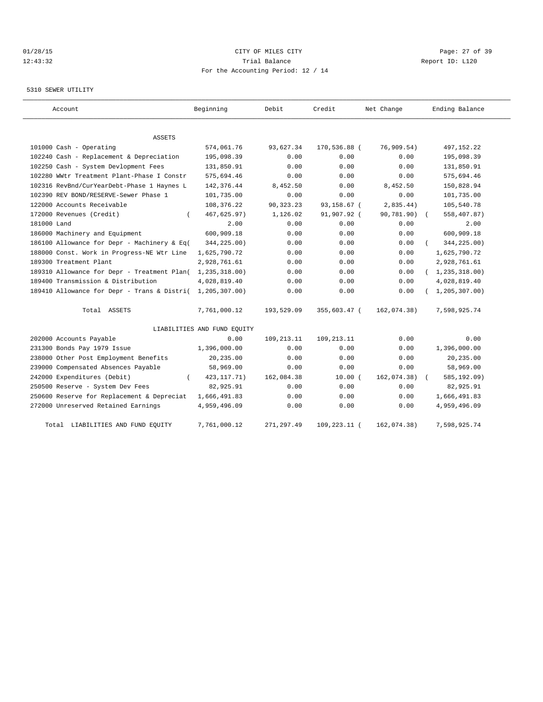### 01/28/15 Page: 27 of 39 12:43:32 Trial Balance Report ID: L120 For the Accounting Period: 12 / 14

### 5310 SEWER UTILITY

| Account                                     | Beginning                   | Debit        | Credit       | Net Change  | Ending Balance   |
|---------------------------------------------|-----------------------------|--------------|--------------|-------------|------------------|
|                                             |                             |              |              |             |                  |
| ASSETS                                      |                             |              |              |             |                  |
| 101000 Cash - Operating                     | 574,061.76                  | 93,627.34    | 170,536.88 ( | 76,909.54)  | 497, 152. 22     |
| 102240 Cash - Replacement & Depreciation    | 195,098.39                  | 0.00         | 0.00         | 0.00        | 195,098.39       |
| 102250 Cash - System Devlopment Fees        | 131,850.91                  | 0.00         | 0.00         | 0.00        | 131,850.91       |
| 102280 WWtr Treatment Plant-Phase I Constr  | 575,694.46                  | 0.00         | 0.00         | 0.00        | 575,694.46       |
| 102316 RevBnd/CurYearDebt-Phase 1 Haynes L  | 142, 376.44                 | 8,452.50     | 0.00         | 8,452.50    | 150,828.94       |
| 102390 REV BOND/RESERVE-Sewer Phase 1       | 101,735.00                  | 0.00         | 0.00         | 0.00        | 101,735.00       |
| 122000 Accounts Receivable                  | 108,376.22                  | 90, 323. 23  | 93,158.67 (  | 2,835.44)   | 105,540.78       |
| 172000 Revenues (Credit)                    | 467,625.97)                 | 1,126.02     | 91,907.92 (  | 90,781.90)  | 558,407.87)      |
| 181000 Land                                 | 2.00                        | 0.00         | 0.00         | 0.00        | 2.00             |
| 186000 Machinery and Equipment              | 600,909.18                  | 0.00         | 0.00         | 0.00        | 600,909.18       |
| 186100 Allowance for Depr - Machinery & Eq( | 344,225.00)                 | 0.00         | 0.00         | 0.00        | 344,225.00)      |
| 188000 Const. Work in Progress-NE Wtr Line  | 1,625,790.72                | 0.00         | 0.00         | 0.00        | 1,625,790.72     |
| 189300 Treatment Plant                      | 2,928,761.61                | 0.00         | 0.00         | 0.00        | 2,928,761.61     |
| 189310 Allowance for Depr - Treatment Plan( | 1,235,318.00)               | 0.00         | 0.00         | 0.00        | (1, 235, 318.00) |
| 189400 Transmission & Distribution          | 4,028,819.40                | 0.00         | 0.00         | 0.00        | 4,028,819.40     |
| 189410 Allowance for Depr - Trans & Distri( | 1,205,307.00)               | 0.00         | 0.00         | 0.00        | 1, 205, 307.00   |
| Total ASSETS                                | 7,761,000.12                | 193,529.09   | 355,603.47 ( | 162,074.38) | 7,598,925.74     |
|                                             | LIABILITIES AND FUND EQUITY |              |              |             |                  |
| 202000 Accounts Payable                     | 0.00                        | 109, 213. 11 | 109, 213. 11 | 0.00        | 0.00             |
| 231300 Bonds Pay 1979 Issue                 | 1,396,000.00                | 0.00         | 0.00         | 0.00        | 1,396,000.00     |
| 238000 Other Post Employment Benefits       | 20,235.00                   | 0.00         | 0.00         | 0.00        | 20,235.00        |
| 239000 Compensated Absences Payable         | 58,969.00                   | 0.00         | 0.00         | 0.00        | 58,969.00        |
| 242000 Expenditures (Debit)                 | 423, 117. 71)               | 162,084.38   | $10.00$ (    | 162,074.38) | 585,192.09)      |
| 250500 Reserve - System Dev Fees            | 82,925.91                   | 0.00         | 0.00         | 0.00        | 82,925.91        |
| 250600 Reserve for Replacement & Depreciat  | 1,666,491.83                | 0.00         | 0.00         | 0.00        | 1,666,491.83     |
| 272000 Unreserved Retained Earnings         | 4,959,496.09                | 0.00         | 0.00         | 0.00        | 4,959,496.09     |
| LIABILITIES AND FUND EQUITY<br>Total        | 7,761,000.12                | 271,297.49   | 109,223.11 ( | 162,074.38) | 7,598,925.74     |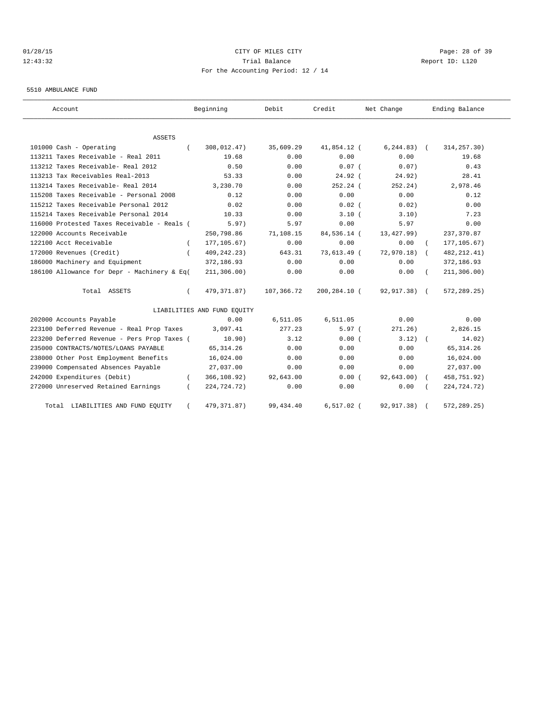# 01/28/15 Page: 28 of 39 12:43:32 Trial Balance Report ID: L120 For the Accounting Period: 12 / 14

5510 AMBULANCE FUND

| Account                                     |          | Beginning                   | Debit      | Credit       | Net Change      |            | Ending Balance |
|---------------------------------------------|----------|-----------------------------|------------|--------------|-----------------|------------|----------------|
| <b>ASSETS</b>                               |          |                             |            |              |                 |            |                |
| 101000 Cash - Operating                     |          | 308,012.47)                 | 35,609.29  | 41,854.12 (  | $6, 244.83$ ) ( |            | 314, 257.30)   |
| 113211 Taxes Receivable - Real 2011         |          | 19.68                       | 0.00       | 0.00         | 0.00            |            | 19.68          |
| 113212 Taxes Receivable- Real 2012          |          | 0.50                        | 0.00       | $0.07$ (     | 0.07)           |            | 0.43           |
| 113213 Tax Receivables Real-2013            |          | 53.33                       | 0.00       | $24.92$ (    | 24.92)          |            | 28.41          |
| 113214 Taxes Receivable- Real 2014          |          | 3,230.70                    | 0.00       | 252.24 (     | 252.24)         |            | 2,978.46       |
| 115208 Taxes Receivable - Personal 2008     |          | 0.12                        | 0.00       | 0.00         | 0.00            |            | 0.12           |
| 115212 Taxes Receivable Personal 2012       |          | 0.02                        | 0.00       | $0.02$ (     | 0.02)           |            | 0.00           |
| 115214 Taxes Receivable Personal 2014       |          | 10.33                       | 0.00       | 3.10(        | 3.10)           |            | 7.23           |
| 116000 Protested Taxes Receivable - Reals ( |          | 5.97)                       | 5.97       | 0.00         | 5.97            |            | 0.00           |
| 122000 Accounts Receivable                  |          | 250,798.86                  | 71,108.15  | 84,536.14 (  | 13,427.99)      |            | 237, 370.87    |
| 122100 Acct Receivable                      | $\left($ | 177, 105.67)                | 0.00       | 0.00         | 0.00            |            | 177, 105.67)   |
| 172000 Revenues (Credit)                    |          | 409, 242. 23)               | 643.31     | 73,613.49 (  | 72,970.18)      | $\sqrt{2}$ | 482, 212.41)   |
| 186000 Machinery and Equipment              |          | 372,186.93                  | 0.00       | 0.00         | 0.00            |            | 372,186.93     |
| 186100 Allowance for Depr - Machinery & Eq( |          | 211, 306.00)                | 0.00       | 0.00         | 0.00            |            | 211, 306.00)   |
| Total ASSETS                                |          | 479, 371.87)                | 107,366.72 | 200,284.10 ( | 92,917.38) (    |            | 572, 289.25)   |
|                                             |          | LIABILITIES AND FUND EQUITY |            |              |                 |            |                |
| 202000 Accounts Payable                     |          | 0.00                        | 6,511.05   | 6,511.05     | 0.00            |            | 0.00           |
| 223100 Deferred Revenue - Real Prop Taxes   |          | 3,097.41                    | 277.23     | 5.97(        | 271.26)         |            | 2,826.15       |
| 223200 Deferred Revenue - Pers Prop Taxes ( |          | 10.90)                      | 3.12       | 0.00(        | 3.12)           |            | 14.02)         |
| 235000 CONTRACTS/NOTES/LOANS PAYABLE        |          | 65, 314.26                  | 0.00       | 0.00         | 0.00            |            | 65, 314.26     |
| 238000 Other Post Employment Benefits       |          | 16,024.00                   | 0.00       | 0.00         | 0.00            |            | 16,024.00      |
| 239000 Compensated Absences Payable         |          | 27,037.00                   | 0.00       | 0.00         | 0.00            |            | 27,037.00      |
| 242000 Expenditures (Debit)                 |          | 366,108.92)                 | 92,643.00  | 0.00(        | 92,643.00)      |            | 458,751.92)    |
| 272000 Unreserved Retained Earnings         |          | 224,724.72)                 | 0.00       | 0.00         | 0.00            |            | 224,724.72)    |
| Total LIABILITIES AND FUND EQUITY           |          | 479, 371.87)                | 99, 434.40 | $6,517.02$ ( | 92, 917.38)     |            | 572,289.25)    |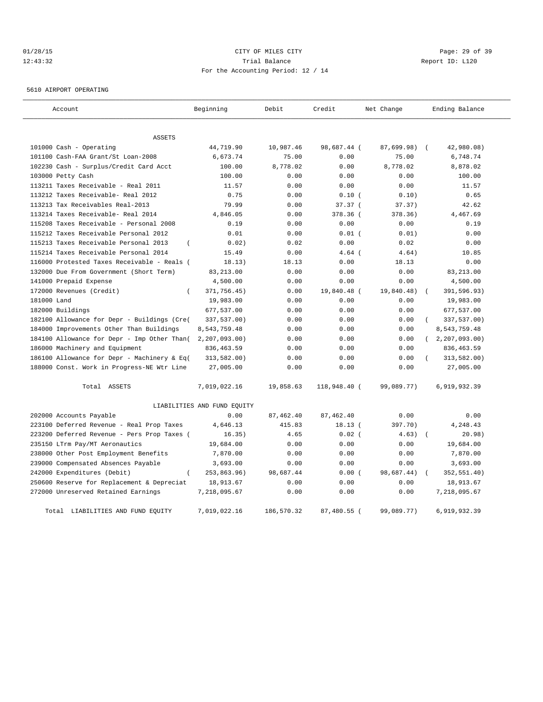# 01/28/15 Page: 29 of 39 12:43:32 Trial Balance Report ID: L120 For the Accounting Period: 12 / 14

5610 AIRPORT OPERATING

| Account                                           | Beginning                   | Debit      | Credit       | Net Change | Ending Balance              |
|---------------------------------------------------|-----------------------------|------------|--------------|------------|-----------------------------|
| <b>ASSETS</b>                                     |                             |            |              |            |                             |
| 101000 Cash - Operating                           | 44,719.90                   | 10,987.46  | 98,687.44 (  | 87,699.98) | 42,980.08)<br>$\sqrt{ }$    |
| 101100 Cash-FAA Grant/St Loan-2008                | 6,673.74                    | 75.00      | 0.00         | 75.00      | 6,748.74                    |
| 102230 Cash - Surplus/Credit Card Acct            | 100.00                      | 8,778.02   | 0.00         | 8,778.02   | 8,878.02                    |
| 103000 Petty Cash                                 | 100.00                      | 0.00       | 0.00         | 0.00       | 100.00                      |
| 113211 Taxes Receivable - Real 2011               | 11.57                       | 0.00       | 0.00         | 0.00       | 11.57                       |
| 113212 Taxes Receivable- Real 2012                | 0.75                        | 0.00       | 0.10(        | 0.10)      | 0.65                        |
| 113213 Tax Receivables Real-2013                  | 79.99                       | 0.00       | 37.37 (      | 37.37)     | 42.62                       |
| 113214 Taxes Receivable- Real 2014                | 4,846.05                    | 0.00       | 378.36 (     | 378.36)    | 4,467.69                    |
| 115208 Taxes Receivable - Personal 2008           | 0.19                        | 0.00       | 0.00         | 0.00       | 0.19                        |
| 115212 Taxes Receivable Personal 2012             | 0.01                        | 0.00       | 0.01(        | 0.01)      | 0.00                        |
| 115213 Taxes Receivable Personal 2013<br>$\left($ | 0.02)                       | 0.02       | 0.00         | 0.02       | 0.00                        |
| 115214 Taxes Receivable Personal 2014             | 15.49                       | 0.00       | $4.64$ (     | 4.64)      | 10.85                       |
| 116000 Protested Taxes Receivable - Reals (       | 18.13)                      | 18.13      | 0.00         | 18.13      | 0.00                        |
| 132000 Due From Government (Short Term)           | 83, 213.00                  | 0.00       | 0.00         | 0.00       | 83,213.00                   |
| 141000 Prepaid Expense                            | 4,500.00                    | 0.00       | 0.00         | 0.00       | 4,500.00                    |
| 172000 Revenues (Credit)<br>$\overline{(\ }$      | 371,756.45)                 | 0.00       | 19,840.48 (  | 19,840.48) | 391,596.93)                 |
| 181000 Land                                       | 19,983.00                   | 0.00       | 0.00         | 0.00       | 19,983.00                   |
| 182000 Buildings                                  | 677,537.00                  | 0.00       | 0.00         | 0.00       | 677,537.00                  |
| 182100 Allowance for Depr - Buildings (Cre(       | 337,537.00)                 | 0.00       | 0.00         | 0.00       | 337,537.00)                 |
| 184000 Improvements Other Than Buildings          | 8,543,759.48                | 0.00       | 0.00         | 0.00       | 8,543,759.48                |
| 184100 Allowance for Depr - Imp Other Than(       | 2, 207, 093.00              | 0.00       | 0.00         | 0.00       | 2,207,093.00)<br>$\sqrt{2}$ |
| 186000 Machinery and Equipment                    | 836, 463.59                 | 0.00       | 0.00         | 0.00       | 836, 463.59                 |
| 186100 Allowance for Depr - Machinery & Eq(       | 313,582.00)                 | 0.00       | 0.00         | 0.00       | 313,582.00)                 |
| 188000 Const. Work in Progress-NE Wtr Line        | 27,005.00                   | 0.00       | 0.00         | 0.00       | 27,005.00                   |
| Total ASSETS                                      | 7,019,022.16                | 19,858.63  | 118,948.40 ( | 99,089.77) | 6,919,932.39                |
|                                                   | LIABILITIES AND FUND EQUITY |            |              |            |                             |
| 202000 Accounts Payable                           | 0.00                        | 87,462.40  | 87, 462.40   | 0.00       | 0.00                        |
| 223100 Deferred Revenue - Real Prop Taxes         | 4,646.13                    | 415.83     | 18.13(       | 397.70)    | 4,248.43                    |
| 223200 Deferred Revenue - Pers Prop Taxes (       | 16.35)                      | 4.65       | $0.02$ (     | 4.63)      | 20.98)<br>$\sqrt{2}$        |
| 235150 LTrm Pay/MT Aeronautics                    | 19,684.00                   | 0.00       | 0.00         | 0.00       | 19,684.00                   |
| 238000 Other Post Employment Benefits             | 7,870.00                    | 0.00       | 0.00         | 0.00       | 7,870.00                    |
| 239000 Compensated Absences Payable               | 3,693.00                    | 0.00       | 0.00         | 0.00       | 3,693.00                    |
| 242000 Expenditures (Debit)                       | 253,863.96)                 | 98,687.44  | 0.00(        | 98,687.44) | 352,551.40)                 |
| 250600 Reserve for Replacement & Depreciat        | 18,913.67                   | 0.00       | 0.00         | 0.00       | 18,913.67                   |
| 272000 Unreserved Retained Earnings               | 7,218,095.67                | 0.00       | 0.00         | 0.00       | 7,218,095.67                |
| Total LIABILITIES AND FUND EQUITY                 | 7,019,022.16                | 186,570.32 | 87,480.55 (  | 99,089.77) | 6,919,932.39                |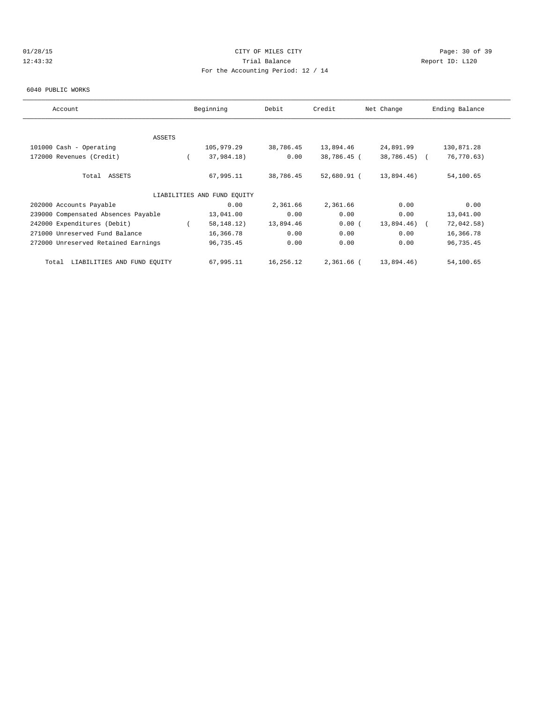# 01/28/15 Page: 30 of 39 12:43:32 Trial Balance Report ID: L120 For the Accounting Period: 12 / 14

#### 6040 PUBLIC WORKS

| Account                              |  | Beginning                   | Debit     | Credit      | Net Change      |  | Ending Balance |  |
|--------------------------------------|--|-----------------------------|-----------|-------------|-----------------|--|----------------|--|
|                                      |  |                             |           |             |                 |  |                |  |
| <b>ASSETS</b>                        |  |                             |           |             |                 |  |                |  |
| 101000 Cash - Operating              |  | 105,979.29                  | 38,786.45 | 13,894.46   | 24,891.99       |  | 130,871.28     |  |
| 172000 Revenues (Credit)             |  | 37,984.18)                  | 0.00      | 38,786.45 ( | 38,786.45) (    |  | 76,770.63)     |  |
| Total ASSETS                         |  | 67,995.11                   | 38,786.45 | 52,680.91 ( | 13,894.46)      |  | 54,100.65      |  |
|                                      |  | LIABILITIES AND FUND EQUITY |           |             |                 |  |                |  |
| 202000 Accounts Payable              |  | 0.00                        | 2,361.66  | 2,361.66    | 0.00            |  | 0.00           |  |
| 239000 Compensated Absences Payable  |  | 13,041.00                   | 0.00      | 0.00        | 0.00            |  | 13,041.00      |  |
| 242000 Expenditures (Debit)          |  | 58, 148. 12)                | 13,894.46 | 0.00(       | $13,894.46$ ) ( |  | 72,042.58)     |  |
| 271000 Unreserved Fund Balance       |  | 16,366.78                   | 0.00      | 0.00        | 0.00            |  | 16,366.78      |  |
| 272000 Unreserved Retained Earnings  |  | 96,735.45                   | 0.00      | 0.00        | 0.00            |  | 96,735.45      |  |
| LIABILITIES AND FUND EQUITY<br>Total |  | 67,995.11                   | 16,256.12 | 2,361.66 (  | 13,894.46)      |  | 54,100.65      |  |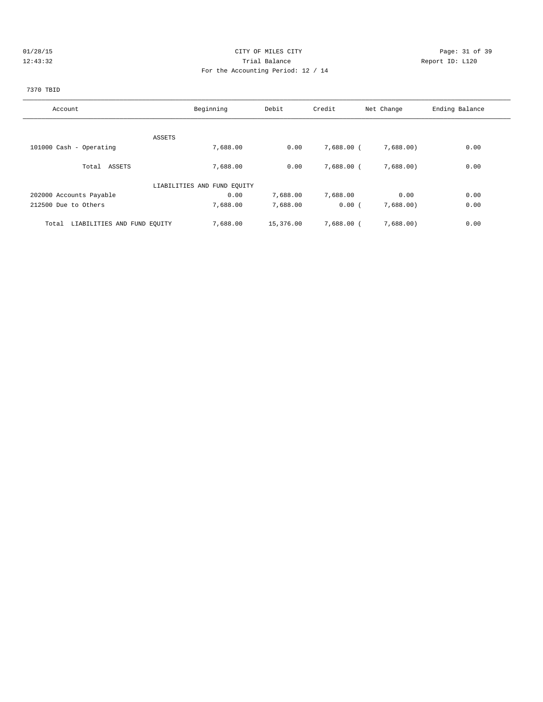# 01/28/15 Page: 31 of 39 12:43:32 Trial Balance Report ID: L120 For the Accounting Period: 12 / 14

# 7370 TBID

| Account                              | Beginning                   | Debit     | Credit       | Net Change | Ending Balance |
|--------------------------------------|-----------------------------|-----------|--------------|------------|----------------|
|                                      |                             |           |              |            |                |
| ASSETS                               |                             |           |              |            |                |
| 101000 Cash - Operating              | 7,688.00                    | 0.00      | 7,688.00 (   | 7,688.00)  | 0.00           |
|                                      |                             |           |              |            |                |
| Total ASSETS                         | 7,688.00                    | 0.00      | 7,688.00 (   | 7,688.00   | 0.00           |
|                                      | LIABILITIES AND FUND EQUITY |           |              |            |                |
| 202000 Accounts Payable              | 0.00                        | 7,688.00  | 7,688.00     | 0.00       | 0.00           |
| 212500 Due to Others                 | 7,688.00                    | 7,688.00  | 0.00(        | 7,688.00)  | 0.00           |
|                                      |                             |           |              |            |                |
| Total<br>LIABILITIES AND FUND EQUITY | 7,688.00                    | 15,376.00 | $7.688.00$ ( | 7,688.00   | 0.00           |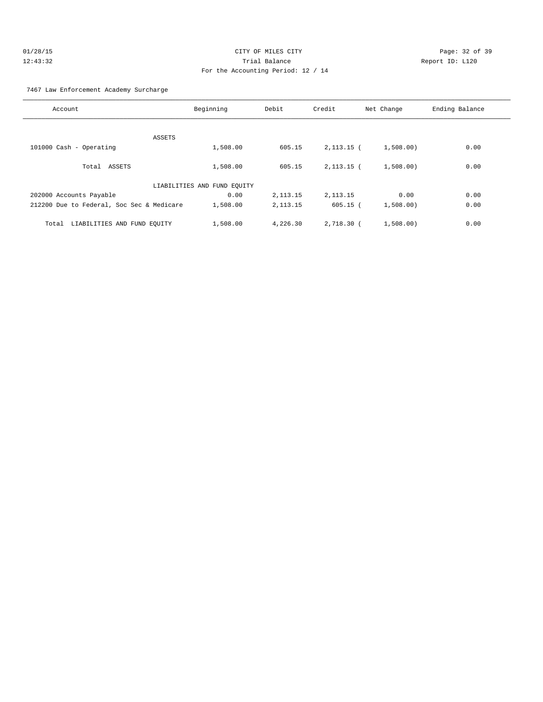### 7467 Law Enforcement Academy Surcharge

| Account                                   | Beginning                   | Debit      | Credit       | Net Change | Ending Balance |
|-------------------------------------------|-----------------------------|------------|--------------|------------|----------------|
|                                           |                             |            |              |            |                |
| ASSETS                                    |                             |            |              |            |                |
| 101000 Cash - Operating                   | 1,508.00                    | 605.15     | $2,113.15$ ( | 1,508.00)  | 0.00           |
|                                           |                             |            |              |            |                |
| Total ASSETS                              | 1,508.00                    | 605.15     | $2,113.15$ ( | 1,508.00)  | 0.00           |
|                                           | LIABILITIES AND FUND EQUITY |            |              |            |                |
| 202000 Accounts Payable                   | 0.00                        | 2, 113. 15 | 2, 113. 15   | 0.00       | 0.00           |
| 212200 Due to Federal, Soc Sec & Medicare | 1,508.00                    | 2, 113. 15 | $605.15$ (   | 1,508.00   | 0.00           |
| LIABILITIES AND FUND EQUITY<br>Total      | 1,508.00                    | 4,226.30   | 2,718.30 (   | 1,508.00   | 0.00           |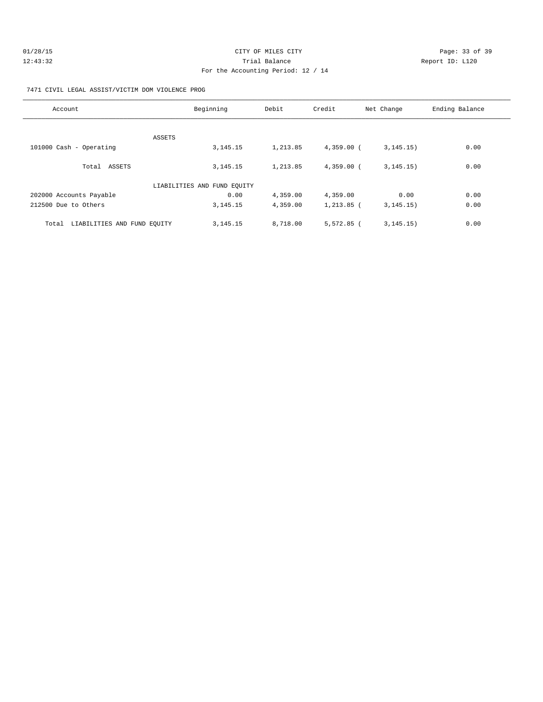| 01/28/15 | CITY OF MILES CITY                 | Page: 33 of 39  |
|----------|------------------------------------|-----------------|
| 12:43:32 | Trial Balance                      | Report ID: L120 |
|          | For the Accounting Period: 12 / 14 |                 |

7471 CIVIL LEGAL ASSIST/VICTIM DOM VIOLENCE PROG

| Account                              | Beginning                   | Debit    | Credit       | Net Change  | Ending Balance |
|--------------------------------------|-----------------------------|----------|--------------|-------------|----------------|
|                                      |                             |          |              |             |                |
| ASSETS<br>101000 Cash - Operating    | 3, 145. 15                  | 1,213.85 | $4,359.00$ ( | 3, 145, 15) | 0.00           |
| Total ASSETS                         | 3, 145. 15                  | 1,213.85 | $4,359.00$ ( | 3, 145, 15) | 0.00           |
|                                      | LIABILITIES AND FUND EQUITY |          |              |             |                |
| 202000 Accounts Payable              | 0.00                        | 4,359.00 | 4,359.00     | 0.00        | 0.00           |
| 212500 Due to Others                 | 3, 145. 15                  | 4,359.00 | $1,213.85$ ( | 3, 145, 15) | 0.00           |
| LIABILITIES AND FUND EQUITY<br>Total | 3, 145. 15                  | 8,718.00 | $5,572.85$ ( | 3, 145, 15) | 0.00           |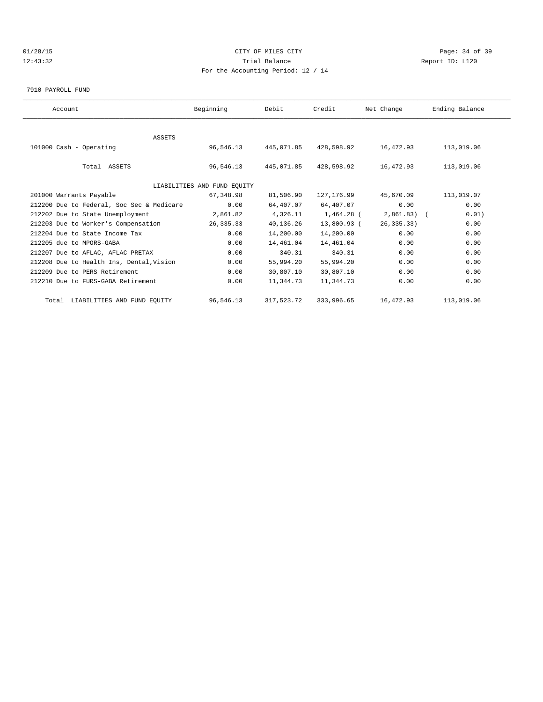# 01/28/15 Page: 34 of 39 12:43:32 Trial Balance Report ID: L120 For the Accounting Period: 12 / 14

7910 PAYROLL FUND

| Account                                   | Beginning                   | Debit      | Credit      | Net Change   | Ending Balance |  |
|-------------------------------------------|-----------------------------|------------|-------------|--------------|----------------|--|
|                                           |                             |            |             |              |                |  |
| <b>ASSETS</b>                             |                             |            |             |              |                |  |
| 101000 Cash - Operating                   | 96,546.13                   | 445,071.85 | 428,598.92  | 16,472.93    | 113,019.06     |  |
|                                           |                             |            |             |              |                |  |
| Total ASSETS                              | 96,546.13                   | 445,071.85 | 428,598.92  | 16,472.93    | 113,019.06     |  |
|                                           |                             |            |             |              |                |  |
|                                           | LIABILITIES AND FUND EQUITY |            |             |              |                |  |
| 201000 Warrants Payable                   | 67,348.98                   | 81,506.90  | 127, 176.99 | 45,670.09    | 113,019.07     |  |
| 212200 Due to Federal, Soc Sec & Medicare | 0.00                        | 64,407.07  | 64,407.07   | 0.00         | 0.00           |  |
| 212202 Due to State Unemployment          | 2,861.82                    | 4,326.11   | 1,464.28 (  | $2,861.83$ ( | 0.01)          |  |
| 212203 Due to Worker's Compensation       | 26,335.33                   | 40,136.26  | 13,800.93 ( | 26, 335.33)  | 0.00           |  |
| 212204 Due to State Income Tax            | 0.00                        | 14,200.00  | 14,200.00   | 0.00         | 0.00           |  |
| 212205 due to MPORS-GABA                  | 0.00                        | 14,461.04  | 14,461.04   | 0.00         | 0.00           |  |
| 212207 Due to AFLAC, AFLAC PRETAX         | 0.00                        | 340.31     | 340.31      | 0.00         | 0.00           |  |
| 212208 Due to Health Ins, Dental, Vision  | 0.00                        | 55,994.20  | 55,994.20   | 0.00         | 0.00           |  |
| 212209 Due to PERS Retirement             | 0.00                        | 30,807.10  | 30,807.10   | 0.00         | 0.00           |  |
| 212210 Due to FURS-GABA Retirement        | 0.00                        | 11,344.73  | 11,344.73   | 0.00         | 0.00           |  |
| Total LIABILITIES AND FUND EQUITY         | 96,546.13                   | 317,523.72 | 333,996.65  | 16,472.93    | 113,019.06     |  |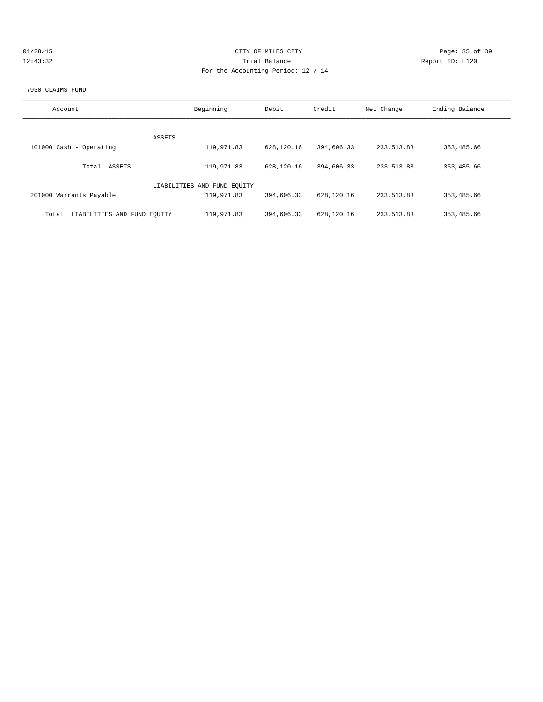| 01/28/15 | CITY OF MILES CITY                 | Page: 35 of 39  |
|----------|------------------------------------|-----------------|
| 12:43:32 | Trial Balance                      | Report ID: L120 |
|          | For the Accounting Period: 12 / 14 |                 |
|          |                                    |                 |

#### 7930 CLAIMS FUND

| Account                              | Beginning                   | Debit      | Credit     | Net Change  | Ending Balance |
|--------------------------------------|-----------------------------|------------|------------|-------------|----------------|
| ASSETS                               |                             |            |            |             |                |
| 101000 Cash - Operating              | 119,971.83                  | 628,120.16 | 394,606.33 | 233, 513.83 | 353, 485.66    |
| ASSETS<br>Total                      | 119,971.83                  | 628,120.16 | 394,606.33 | 233, 513.83 | 353, 485.66    |
|                                      | LIABILITIES AND FUND EOUITY |            |            |             |                |
| 201000 Warrants Payable              | 119,971.83                  | 394,606.33 | 628,120.16 | 233, 513.83 | 353, 485.66    |
| LIABILITIES AND FUND EQUITY<br>Total | 119,971.83                  | 394,606.33 | 628,120.16 | 233, 513.83 | 353, 485.66    |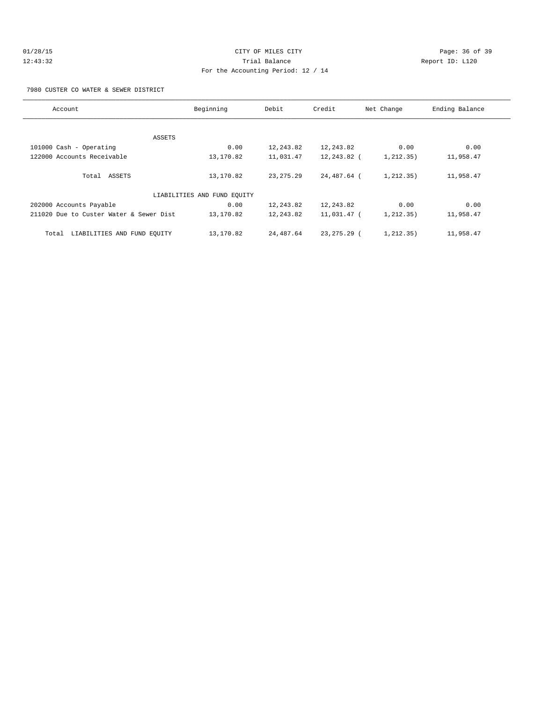# 01/28/15 Page: 36 of 39 12:43:32 Trial Balance Report ID: L120 For the Accounting Period: 12 / 14

7980 CUSTER CO WATER & SEWER DISTRICT

| Account                                 | Beginning                   |             | Credit        | Net Change  | Ending Balance |
|-----------------------------------------|-----------------------------|-------------|---------------|-------------|----------------|
|                                         |                             |             |               |             |                |
| ASSETS                                  |                             |             |               |             |                |
| 101000 Cash - Operating                 | 0.00                        | 12,243.82   | 12,243.82     | 0.00        | 0.00           |
| 122000 Accounts Receivable              | 13,170.82                   | 11,031.47   | 12,243.82 (   | 1, 212, 35) | 11,958.47      |
|                                         |                             |             |               |             |                |
| Total ASSETS                            | 13,170.82                   | 23, 275. 29 | 24,487.64 (   | 1, 212, 35) | 11,958.47      |
|                                         |                             |             |               |             |                |
|                                         | LIABILITIES AND FUND EQUITY |             |               |             |                |
| 202000 Accounts Payable                 | 0.00                        | 12,243.82   | 12,243.82     | 0.00        | 0.00           |
| 211020 Due to Custer Water & Sewer Dist | 13,170.82                   | 12,243.82   | 11,031.47 (   | 1, 212, 35) | 11,958.47      |
|                                         |                             |             |               |             |                |
| LIABILITIES AND FUND EOUITY<br>Total    | 13,170.82                   | 24,487.64   | $23.275.29$ ( | 1, 212, 35) | 11,958.47      |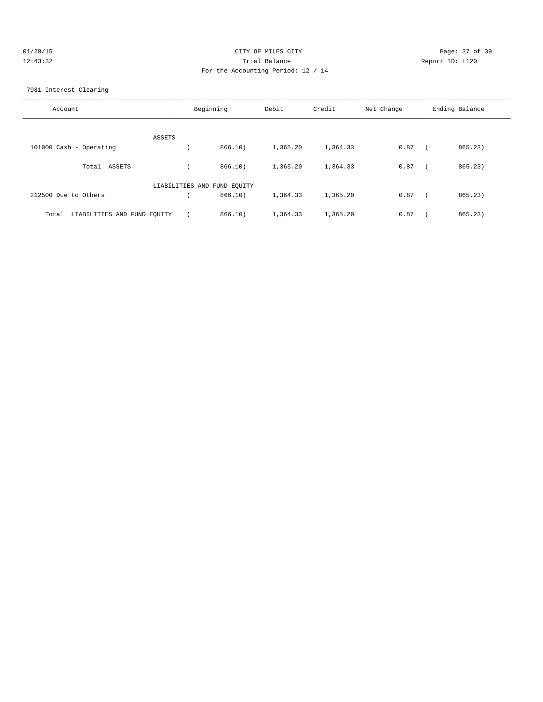| 01/28/15 | CITY OF MILES CITY                 | Page: 37 of 39  |
|----------|------------------------------------|-----------------|
| 12:43:32 | Trial Balance                      | Report ID: L120 |
|          | For the Accounting Period: 12 / 14 |                 |

7981 Interest Clearing

| Account                              |                             | Beginning | Debit    | Credit   | Net Change | Ending Balance |
|--------------------------------------|-----------------------------|-----------|----------|----------|------------|----------------|
|                                      | ASSETS                      |           |          |          |            |                |
| 101000 Cash - Operating              |                             | 866.10    | 1,365.20 | 1,364.33 | 0.87       | 865.23)        |
| ASSETS<br>Total                      |                             | 866.10)   | 1,365.20 | 1,364.33 | 0.87       | 865.23)        |
|                                      | LIABILITIES AND FUND EQUITY |           |          |          |            |                |
| 212500 Due to Others                 |                             | 866.10)   | 1,364.33 | 1,365.20 | 0.87       | 865.23         |
| LIABILITIES AND FUND EQUITY<br>Total |                             | 866.10    | 1,364.33 | 1,365.20 | 0.87       | 865.23)        |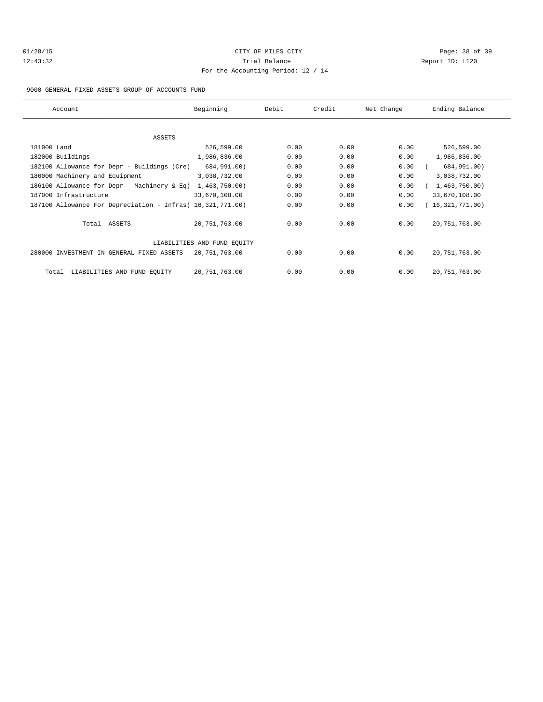# 01/28/15 Page: 38 of 39 12:43:32 Trial Balance Report ID: L120 For the Accounting Period: 12 / 14

### 9000 GENERAL FIXED ASSETS GROUP OF ACCOUNTS FUND

| Account                                                    | Beginning                   | Debit | Credit | Net Change | Ending Balance  |
|------------------------------------------------------------|-----------------------------|-------|--------|------------|-----------------|
|                                                            |                             |       |        |            |                 |
| ASSETS                                                     |                             |       |        |            |                 |
| 181000 Land                                                | 526,599.00                  | 0.00  | 0.00   | 0.00       | 526,599.00      |
| 182000 Buildings                                           | 1,986,836.00                | 0.00  | 0.00   | 0.00       | 1,986,836.00    |
| 182100 Allowance for Depr - Buildings (Cre(                | 684,991.00)                 | 0.00  | 0.00   | 0.00       | 684,991.00)     |
| 186000 Machinery and Equipment                             | 3,038,732.00                | 0.00  | 0.00   | 0.00       | 3,038,732.00    |
| 186100 Allowance for Depr - Machinery & Eq(                | 1,463,750.00)               | 0.00  | 0.00   | 0.00       | 1,463,750.00)   |
| 187000 Infrastructure                                      | 33,670,108.00               | 0.00  | 0.00   | 0.00       | 33,670,108.00   |
| 187100 Allowance For Depreciation - Infras( 16,321,771.00) |                             | 0.00  | 0.00   | 0.00       | (16,321,771.00) |
| Total ASSETS                                               | 20,751,763.00               | 0.00  | 0.00   | 0.00       | 20, 751, 763.00 |
|                                                            | LIABILITIES AND FUND EQUITY |       |        |            |                 |
| 280000 INVESTMENT IN GENERAL FIXED ASSETS                  | 20,751,763.00               | 0.00  | 0.00   | 0.00       | 20, 751, 763.00 |
| LIABILITIES AND FUND EQUITY<br>Total                       | 20,751,763.00               | 0.00  | 0.00   | 0.00       | 20, 751, 763.00 |